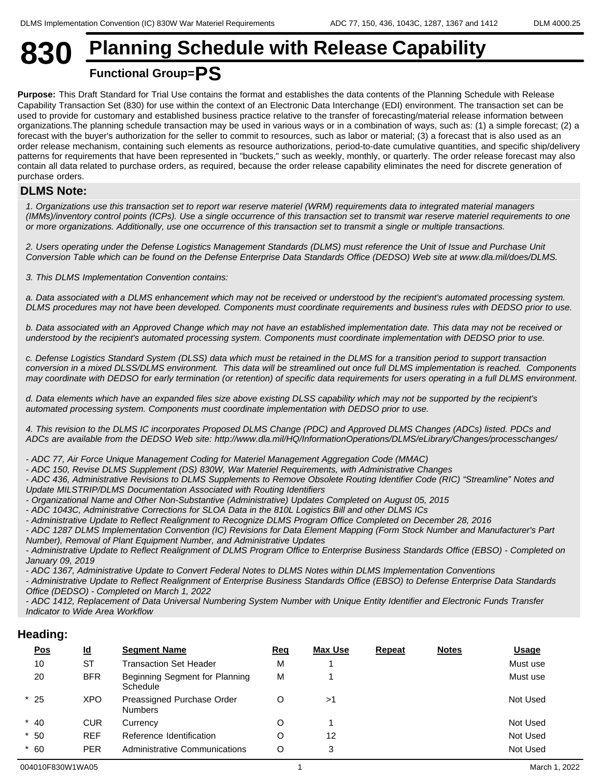# **830 Planning Schedule with Release Capability Functional Group=PS**

#### **Purpose:** This Draft Standard for Trial Use contains the format and establishes the data contents of the Planning Schedule with Release Capability Transaction Set (830) for use within the context of an Electronic Data Interchange (EDI) environment. The transaction set can be used to provide for customary and established business practice relative to the transfer of forecasting/material release information between organizations.The planning schedule transaction may be used in various ways or in a combination of ways, such as: (1) a simple forecast; (2) a forecast with the buyer's authorization for the seller to commit to resources, such as labor or material; (3) a forecast that is also used as an order release mechanism, containing such elements as resource authorizations, period-to-date cumulative quantities, and specific ship/delivery patterns for requirements that have been represented in "buckets," such as weekly, monthly, or quarterly. The order release forecast may also contain all data related to purchase orders, as required, because the order release capability eliminates the need for discrete generation of purchase orders.

#### **DLMS Note:**

*1. Organizations use this transaction set to report war reserve materiel (WRM) requirements data to integrated material managers (IMMs)/inventory control points (ICPs). Use a single occurrence of this transaction set to transmit war reserve materiel requirements to one or more organizations. Additionally, use one occurrence of this transaction set to transmit a single or multiple transactions.* 

*2. Users operating under the Defense Logistics Management Standards (DLMS) must reference the Unit of Issue and Purchase Unit Conversion Table which can be found on the Defense Enterprise Data Standards Office (DEDSO) Web site at www.dla.mil/does/DLMS.*

*3. This DLMS Implementation Convention contains:*

*a. Data associated with a DLMS enhancement which may not be received or understood by the recipient's automated processing system. DLMS procedures may not have been developed. Components must coordinate requirements and business rules with DEDSO prior to use.*

*b. Data associated with an Approved Change which may not have an established implementation date. This data may not be received or understood by the recipient's automated processing system. Components must coordinate implementation with DEDSO prior to use.*

*c. Defense Logistics Standard System (DLSS) data which must be retained in the DLMS for a transition period to support transaction conversion in a mixed DLSS/DLMS environment. This data will be streamlined out once full DLMS implementation is reached. Components may coordinate with DEDSO for early termination (or retention) of specific data requirements for users operating in a full DLMS environment.*

*d. Data elements which have an expanded files size above existing DLSS capability which may not be supported by the recipient's automated processing system. Components must coordinate implementation with DEDSO prior to use.*

*4. This revision to the DLMS IC incorporates Proposed DLMS Change (PDC) and Approved DLMS Changes (ADCs) listed. PDCs and ADCs are available from the DEDSO Web site: http://www.dla.mil/HQ/InformationOperations/DLMS/eLibrary/Changes/processchanges/* 

*- ADC 77, Air Force Unique Management Coding for Materiel Management Aggregation Code (MMAC)*

*- ADC 150, Revise DLMS Supplement (DS) 830W, War Materiel Requirements, with Administrative Changes*

*- ADC 436, Administrative Revisions to DLMS Supplements to Remove Obsolete Routing Identifier Code (RIC) "Streamline" Notes and Update MILSTRIP/DLMS Documentation Associated with Routing Identifiers*

*- Organizational Name and Other Non-Substantive (Administrative) Updates Completed on August 05, 2015*

*- ADC 1043C, Administrative Corrections for SLOA Data in the 810L Logistics Bill and other DLMS ICs*

*- Administrative Update to Reflect Realignment to Recognize DLMS Program Office Completed on December 28, 2016*

*- ADC 1287 DLMS Implementation Convention (IC) Revisions for Data Element Mapping (Form Stock Number and Manufacturer's Part Number), Removal of Plant Equipment Number, and Administrative Updates*

*- Administrative Update to Reflect Realignment of DLMS Program Office to Enterprise Business Standards Office (EBSO) - Completed on January 09, 2019*

*- ADC 1367, Administrative Update to Convert Federal Notes to DLMS Notes within DLMS Implementation Conventions*

*- Administrative Update to Reflect Realignment of Enterprise Business Standards Office (EBSO) to Defense Enterprise Data Standards Office (DEDSO) - Completed on March 1, 2022*

*- ADC 1412, Replacement of Data Universal Numbering System Number with Unique Entity Identifier and Electronic Funds Transfer Indicator to Wide Area Workflow*

#### **Heading:**

| <u>Pos</u> | $\underline{\mathsf{Id}}$ | <b>Segment Name</b>                          | <u>Req</u> | Max Use | <b>Repeat</b> | <b>Notes</b> | <b>Usage</b> |
|------------|---------------------------|----------------------------------------------|------------|---------|---------------|--------------|--------------|
| 10         | <b>ST</b>                 | <b>Transaction Set Header</b>                | м          |         |               |              | Must use     |
| 20         | <b>BFR</b>                | Beginning Segment for Planning<br>Schedule   | M          |         |               |              | Must use     |
| $*25$      | <b>XPO</b>                | Preassigned Purchase Order<br><b>Numbers</b> |            | >1      |               |              | Not Used     |
| $*$ 40     | CUR                       | Currency                                     |            |         |               |              | Not Used     |
| $*50$      | <b>REF</b>                | Reference Identification                     |            | 12      |               |              | Not Used     |
| $*60$      | <b>PER</b>                | Administrative Communications                | O          | વ       |               |              | Not Used     |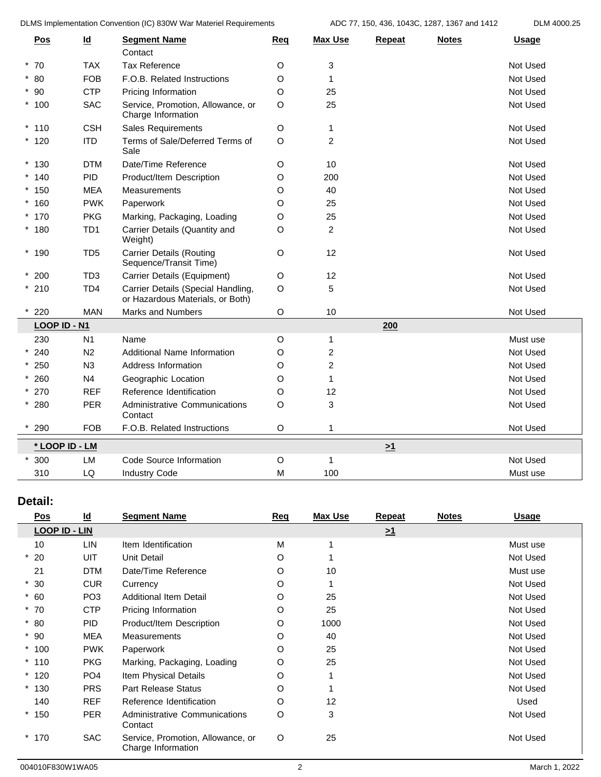DLMS Implementation Convention (IC) 830W War Materiel Requirements ADC 77, 150, 436, 1043C, 1287, 1367 and 1412 DLM 4000.25

| <b>Pos</b>     | $\underline{\mathsf{Id}}$ | <b>Segment Name</b><br>Contact                                         | Req         | <b>Max Use</b> | <b>Repeat</b> | <b>Notes</b> | <b>Usage</b> |
|----------------|---------------------------|------------------------------------------------------------------------|-------------|----------------|---------------|--------------|--------------|
| $*70$          | <b>TAX</b>                | <b>Tax Reference</b>                                                   | O           | 3              |               |              | Not Used     |
| $*80$          | <b>FOB</b>                | F.O.B. Related Instructions                                            | O           | $\mathbf{1}$   |               |              | Not Used     |
| $*90$          | <b>CTP</b>                | Pricing Information                                                    | O           | 25             |               |              | Not Used     |
| $*100$         | <b>SAC</b>                | Service, Promotion, Allowance, or<br>Charge Information                | O           | 25             |               |              | Not Used     |
| $*110$         | <b>CSH</b>                | Sales Requirements                                                     | O           | 1              |               |              | Not Used     |
| $*120$         | <b>ITD</b>                | Terms of Sale/Deferred Terms of<br>Sale                                | $\circ$     | $\overline{c}$ |               |              | Not Used     |
| $*130$         | <b>DTM</b>                | Date/Time Reference                                                    | O           | 10             |               |              | Not Used     |
| $*140$         | PID                       | Product/Item Description                                               | O           | 200            |               |              | Not Used     |
| $*150$         | <b>MEA</b>                | Measurements                                                           | O           | 40             |               |              | Not Used     |
| $*160$         | <b>PWK</b>                | Paperwork                                                              | $\circ$     | 25             |               |              | Not Used     |
| $*170$         | <b>PKG</b>                | Marking, Packaging, Loading                                            | O           | 25             |               |              | Not Used     |
| $*180$         | TD <sub>1</sub>           | Carrier Details (Quantity and<br>Weight)                               | O           | $\overline{2}$ |               |              | Not Used     |
| $*190$         | TD <sub>5</sub>           | <b>Carrier Details (Routing</b><br>Sequence/Transit Time)              | O           | 12             |               |              | Not Used     |
| $*200$         | TD <sub>3</sub>           | Carrier Details (Equipment)                                            | O           | 12             |               |              | Not Used     |
| $*210$         | TD <sub>4</sub>           | Carrier Details (Special Handling,<br>or Hazardous Materials, or Both) | $\mathsf O$ | 5              |               |              | Not Used     |
| 220            | <b>MAN</b>                | <b>Marks and Numbers</b>                                               | O           | $10$           |               |              | Not Used     |
| LOOP ID - N1   |                           |                                                                        |             |                | 200           |              |              |
| 230            | N1                        | Name                                                                   | O           | 1              |               |              | Must use     |
| $*240$         | N <sub>2</sub>            | Additional Name Information                                            | O           | $\overline{c}$ |               |              | Not Used     |
| $*250$         | N3                        | Address Information                                                    | O           | $\overline{c}$ |               |              | Not Used     |
| $* 260$        | N <sub>4</sub>            | Geographic Location                                                    | O           | $\mathbf{1}$   |               |              | Not Used     |
| $* 270$        | <b>REF</b>                | Reference Identification                                               | $\circ$     | 12             |               |              | Not Used     |
| $*280$         | <b>PER</b>                | Administrative Communications<br>Contact                               | O           | 3              |               |              | Not Used     |
| $*290$         | <b>FOB</b>                | F.O.B. Related Instructions                                            | O           | $\mathbf{1}$   |               |              | Not Used     |
| * LOOP ID - LM |                           |                                                                        |             |                | $\geq 1$      |              |              |
| $*300$         | LM                        | Code Source Information                                                | O           | 1              |               |              | Not Used     |
| 310            | LQ                        | <b>Industry Code</b>                                                   | M           | 100            |               |              | Must use     |
|                |                           |                                                                        |             |                |               |              |              |

### **Detail:**

| Pos                  | $\underline{\mathsf{Id}}$ | <b>Segment Name</b>                                     | Req | <b>Max Use</b> | <b>Repeat</b>       | <b>Notes</b> | <u>Usage</u> |
|----------------------|---------------------------|---------------------------------------------------------|-----|----------------|---------------------|--------------|--------------|
| <b>LOOP ID - LIN</b> |                           |                                                         |     |                | $\geq$ <sup>1</sup> |              |              |
| 10                   | LIN                       | Item Identification                                     | М   |                |                     |              | Must use     |
| $*20$                | UIT                       | <b>Unit Detail</b>                                      | O   |                |                     |              | Not Used     |
| 21                   | <b>DTM</b>                | Date/Time Reference                                     | O   | 10             |                     |              | Must use     |
| $*30$                | <b>CUR</b>                | Currency                                                | O   |                |                     |              | Not Used     |
| $* 60$               | PO <sub>3</sub>           | <b>Additional Item Detail</b>                           | O   | 25             |                     |              | Not Used     |
| $*70$                | <b>CTP</b>                | Pricing Information                                     | O   | 25             |                     |              | Not Used     |
| $*80$                | <b>PID</b>                | Product/Item Description                                | O   | 1000           |                     |              | Not Used     |
| $*90$                | <b>MEA</b>                | Measurements                                            | O   | 40             |                     |              | Not Used     |
| $*100$               | <b>PWK</b>                | Paperwork                                               | O   | 25             |                     |              | Not Used     |
| $*110$               | <b>PKG</b>                | Marking, Packaging, Loading                             | O   | 25             |                     |              | Not Used     |
| $*120$               | PO <sub>4</sub>           | Item Physical Details                                   | O   |                |                     |              | Not Used     |
| $*130$               | <b>PRS</b>                | <b>Part Release Status</b>                              | O   |                |                     |              | Not Used     |
| 140                  | <b>REF</b>                | Reference Identification                                | O   | 12             |                     |              | Used         |
| $*150$               | <b>PER</b>                | Administrative Communications<br>Contact                | O   | 3              |                     |              | Not Used     |
| $*170$               | <b>SAC</b>                | Service, Promotion, Allowance, or<br>Charge Information | O   | 25             |                     |              | Not Used     |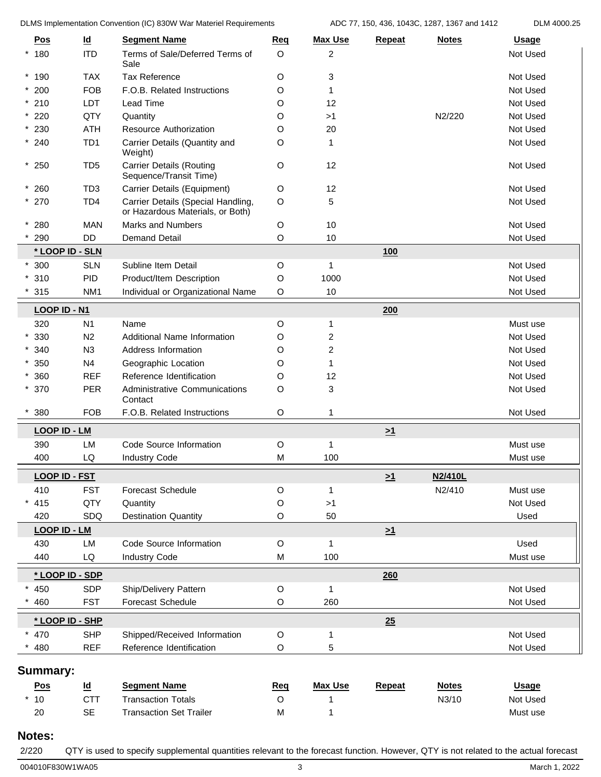DLMS Implementation Convention (IC) 830W War Materiel Requirements ADC 77, 150, 436, 1043C, 1287, 1367 and 1412 DLM 4000.25

|                      |                           | <b>DEMO IMPIGNICIRATOR CONVERTION (TO) 000 W WAT MIGRAPH INCOMPONDING</b> |              |                |          | A            |              |
|----------------------|---------------------------|---------------------------------------------------------------------------|--------------|----------------|----------|--------------|--------------|
| <u>Pos</u>           | $\underline{\mathsf{Id}}$ | <b>Segment Name</b>                                                       | Req          | <b>Max Use</b> | Repeat   | <b>Notes</b> | <b>Usage</b> |
| 180<br>$^{\star}$    | <b>ITD</b>                | Terms of Sale/Deferred Terms of<br>Sale                                   | $\circ$      | 2              |          |              | Not Used     |
| $*190$               | <b>TAX</b>                | <b>Tax Reference</b>                                                      | $\circ$      | 3              |          |              | Not Used     |
| $*200$               | <b>FOB</b>                | F.O.B. Related Instructions                                               | O            | 1              |          |              | Not Used     |
| $*210$               | <b>LDT</b>                | Lead Time                                                                 | O            | 12             |          |              | Not Used     |
| 220                  | QTY                       | Quantity                                                                  | O            | >1             |          | N2/220       | Not Used     |
| 230                  | <b>ATH</b>                | Resource Authorization                                                    | O            | 20             |          |              | Not Used     |
| $*240$               | TD <sub>1</sub>           | Carrier Details (Quantity and<br>Weight)                                  | O            | 1              |          |              | Not Used     |
| $*250$               | TD <sub>5</sub>           | <b>Carrier Details (Routing</b><br>Sequence/Transit Time)                 | $\circ$      | 12             |          |              | Not Used     |
| $*260$               | TD <sub>3</sub>           | Carrier Details (Equipment)                                               | $\circ$      | 12             |          |              | Not Used     |
| $*270$               | TD <sub>4</sub>           | Carrier Details (Special Handling,<br>or Hazardous Materials, or Both)    | $\circ$      | 5              |          |              | Not Used     |
| 280                  | <b>MAN</b>                | <b>Marks and Numbers</b>                                                  | O            | $10$           |          |              | Not Used     |
| $*290$               | <b>DD</b>                 | <b>Demand Detail</b>                                                      | O            | 10             |          |              | Not Used     |
| * LOOP ID - SLN      |                           |                                                                           |              |                | 100      |              |              |
| $*300$               | <b>SLN</b>                | Subline Item Detail                                                       | $\circ$      | $\mathbf{1}$   |          |              | Not Used     |
| 310                  | <b>PID</b>                | Product/Item Description                                                  | O            | 1000           |          |              | Not Used     |
| 315                  | NM <sub>1</sub>           | Individual or Organizational Name                                         | O            | 10             |          |              | Not Used     |
| LOOP ID - N1         |                           |                                                                           |              |                | 200      |              |              |
| 320                  | N1                        | Name                                                                      | $\circ$      | 1              |          |              | Must use     |
| 330                  | N2                        | Additional Name Information                                               | O            | 2              |          |              | Not Used     |
| 340                  | N3                        | Address Information                                                       | O            | $\overline{c}$ |          |              | Not Used     |
| 350                  | N <sub>4</sub>            | Geographic Location                                                       | O            | 1              |          |              | Not Used     |
| 360                  | <b>REF</b>                | Reference Identification                                                  | O            | 12             |          |              | Not Used     |
| 370<br>$^{\star}$    | PER                       | Administrative Communications<br>Contact                                  | O            | 3              |          |              | Not Used     |
| 380                  | <b>FOB</b>                | F.O.B. Related Instructions                                               | $\circ$      | 1              |          |              | Not Used     |
| <b>LOOP ID - LM</b>  |                           |                                                                           |              |                | $\geq 1$ |              |              |
| 390                  | LM                        | Code Source Information                                                   | O            | 1              |          |              | Must use     |
| 400                  | LQ                        | <b>Industry Code</b>                                                      | M            | 100            |          |              | Must use     |
| <b>LOOP ID - FST</b> |                           |                                                                           |              |                | $\geq 1$ | N2/410L      |              |
| 410                  | <b>FST</b>                | Forecast Schedule                                                         | $\circ$      |                |          | N2/410       | Must use     |
| 415                  | QTY                       | Quantity                                                                  | O            | $>1$           |          |              | Not Used     |
| 420                  | SDQ                       | <b>Destination Quantity</b>                                               | $\circ$      | 50             |          |              | Used         |
| <b>LOOP ID - LM</b>  |                           |                                                                           |              |                | $\geq 1$ |              |              |
| 430                  | LM                        | Code Source Information                                                   | $\circ$      | $\mathbf{1}$   |          |              | Used         |
| 440                  | LQ                        | <b>Industry Code</b>                                                      | M            | 100            |          |              | Must use     |
| * LOOP ID - SDP      |                           |                                                                           |              |                |          |              |              |
|                      |                           |                                                                           |              | $\mathbf{1}$   | 260      |              | Not Used     |
| 450<br>460           | <b>SDP</b><br><b>FST</b>  | Ship/Delivery Pattern<br><b>Forecast Schedule</b>                         | $\circ$<br>O | 260            |          |              | Not Used     |
|                      |                           |                                                                           |              |                |          |              |              |
| * LOOP ID - SHP      |                           |                                                                           |              |                | 25       |              |              |
| 470                  | <b>SHP</b>                | Shipped/Received Information                                              | $\circ$      | 1              |          |              | Not Used     |
| 480                  | <b>REF</b>                | Reference Identification                                                  | $\circ$      | 5              |          |              | Not Used     |
| <b>Summary:</b>      |                           |                                                                           |              |                |          |              |              |
| Pos                  | <u>ld</u>                 | <b>Segment Name</b>                                                       | <b>Req</b>   | <b>Max Use</b> | Repeat   | <b>Notes</b> | <b>Usage</b> |
| 10                   | <b>CTT</b>                | <b>Transaction Totals</b>                                                 | O            | 1              |          | N3/10        | Not Used     |
| $20\,$               | $\sf SE$                  | <b>Transaction Set Trailer</b>                                            | M            | 1              |          |              | Must use     |
| Notes:               |                           |                                                                           |              |                |          |              |              |

004010F830W1WA05 3 March 1, 2022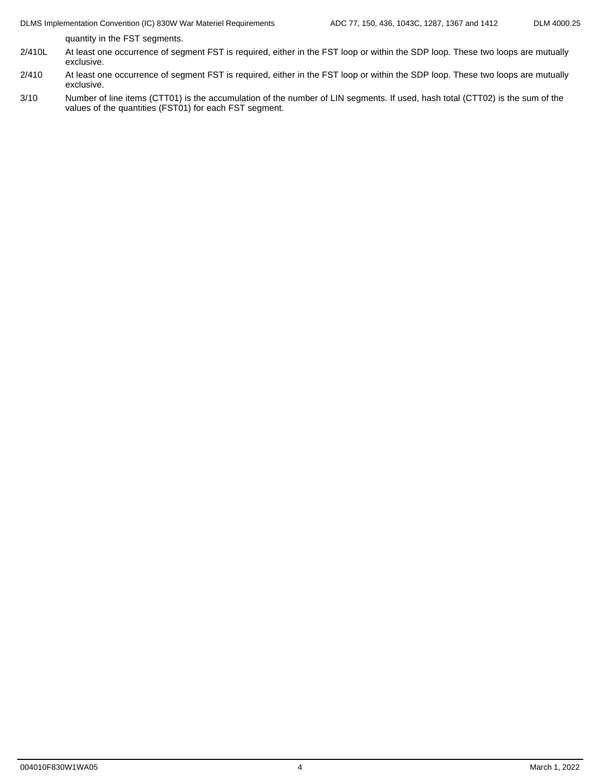quantity in the FST segments.

- 2/410L At least one occurrence of segment FST is required, either in the FST loop or within the SDP loop. These two loops are mutually exclusive.
- 2/410 At least one occurrence of segment FST is required, either in the FST loop or within the SDP loop. These two loops are mutually exclusive.
- 3/10 Number of line items (CTT01) is the accumulation of the number of LIN segments. If used, hash total (CTT02) is the sum of the values of the quantities (FST01) for each FST segment.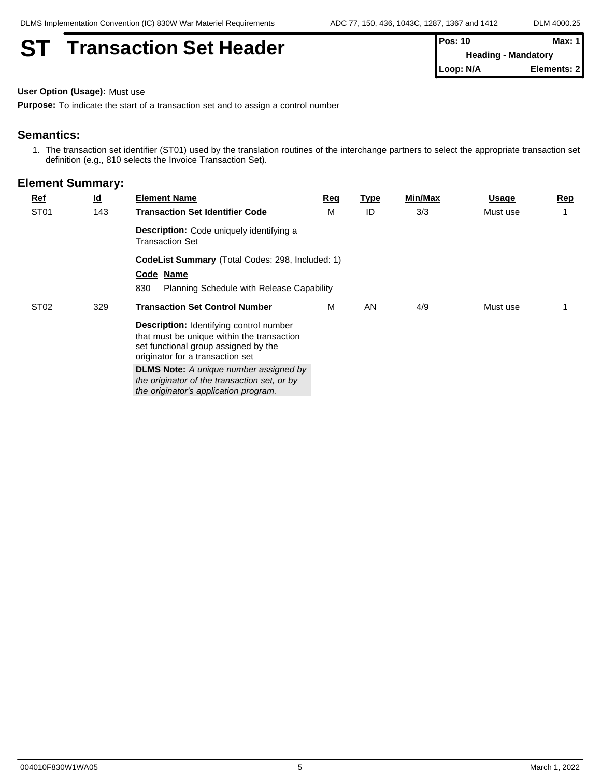# **ST** Transaction Set Header

| $Pos: 10$                  | Max: $1$    |  |
|----------------------------|-------------|--|
| <b>Heading - Mandatory</b> |             |  |
| $\mathsf{Loop: N/A}$       | Elements: 2 |  |

**User Option (Usage):** Must use

**Purpose:** To indicate the start of a transaction set and to assign a control number

#### **Semantics:**

1. The transaction set identifier (ST01) used by the translation routines of the interchange partners to select the appropriate transaction set definition (e.g., 810 selects the Invoice Transaction Set).

| <b>Ref</b>       | $\underline{\mathsf{Id}}$ | <b>Element Name</b>                                                                                                                                                                                                                                                       | Req                                   | Type                                      | Min/Max | <b>Usage</b> | <b>Rep</b> |  |  |  |
|------------------|---------------------------|---------------------------------------------------------------------------------------------------------------------------------------------------------------------------------------------------------------------------------------------------------------------------|---------------------------------------|-------------------------------------------|---------|--------------|------------|--|--|--|
| ST <sub>01</sub> | 143                       | <b>Transaction Set Identifier Code</b>                                                                                                                                                                                                                                    | M                                     | ID                                        | 3/3     | Must use     |            |  |  |  |
|                  |                           | <b>Description:</b> Code uniquely identifying a<br><b>Transaction Set</b>                                                                                                                                                                                                 |                                       |                                           |         |              |            |  |  |  |
|                  |                           | CodeList Summary (Total Codes: 298, Included: 1)                                                                                                                                                                                                                          |                                       |                                           |         |              |            |  |  |  |
|                  |                           | Code Name                                                                                                                                                                                                                                                                 |                                       |                                           |         |              |            |  |  |  |
|                  |                           | 830                                                                                                                                                                                                                                                                       |                                       |                                           |         |              |            |  |  |  |
|                  | 329                       | <b>Transaction Set Control Number</b>                                                                                                                                                                                                                                     | M                                     | AN                                        | 4/9     | Must use     |            |  |  |  |
|                  |                           | <b>Description:</b> Identifying control number<br>that must be unique within the transaction<br>set functional group assigned by the<br>originator for a transaction set<br><b>DLMS Note:</b> A unique number assigned by<br>the originator of the transaction set, or by |                                       |                                           |         |              |            |  |  |  |
|                  | ST <sub>02</sub>          |                                                                                                                                                                                                                                                                           | the originator's application program. | Planning Schedule with Release Capability |         |              |            |  |  |  |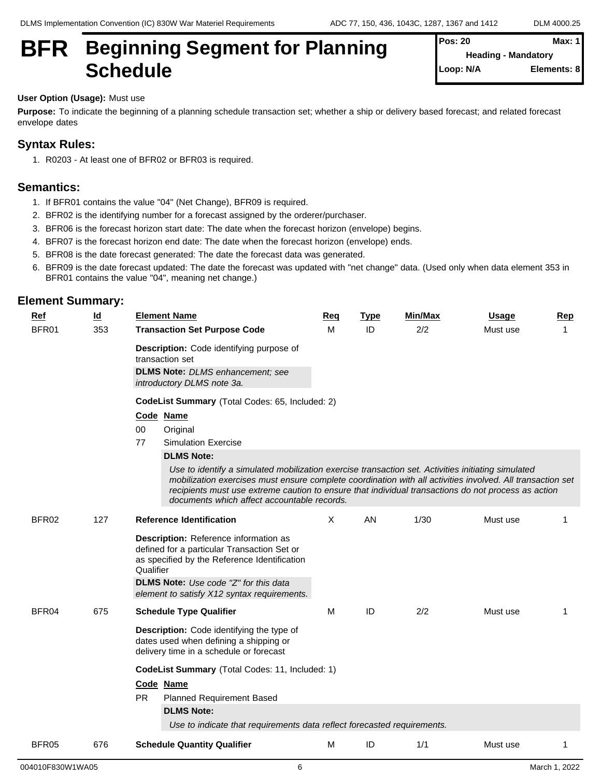# **BFR** Beginning Segment for Planning  $\left\{ \frac{\text{Pos: } 20}{\text{Heading - Mandator}} \right\}$ Schedule **Schedule Schedule Schedule Schedule SCHEDULE**

**Pos: 20 Max: 1 Heading - Mandatory Elements: 8** 

#### **User Option (Usage):** Must use

**Purpose:** To indicate the beginning of a planning schedule transaction set; whether a ship or delivery based forecast; and related forecast envelope dates

### **Syntax Rules:**

1. R0203 - At least one of BFR02 or BFR03 is required.

### **Semantics:**

- 1. If BFR01 contains the value "04" (Net Change), BFR09 is required.
- 2. BFR02 is the identifying number for a forecast assigned by the orderer/purchaser.
- 3. BFR06 is the forecast horizon start date: The date when the forecast horizon (envelope) begins.
- 4. BFR07 is the forecast horizon end date: The date when the forecast horizon (envelope) ends.
- 5. BFR08 is the date forecast generated: The date the forecast data was generated.
- 6. BFR09 is the date forecast updated: The date the forecast was updated with "net change" data. (Used only when data element 353 in BFR01 contains the value "04", meaning net change.)

| $Ref$ | $\underline{\mathsf{Id}}$ | <b>Element Name</b>                                                                                                                                                                                                                                                                                                                                                                                                             | Req | <b>Type</b> | Min/Max | <u>Usage</u> | Rep          |  |  |  |  |
|-------|---------------------------|---------------------------------------------------------------------------------------------------------------------------------------------------------------------------------------------------------------------------------------------------------------------------------------------------------------------------------------------------------------------------------------------------------------------------------|-----|-------------|---------|--------------|--------------|--|--|--|--|
| BFR01 | 353                       | <b>Transaction Set Purpose Code</b><br>Description: Code identifying purpose of<br>transaction set<br><b>DLMS Note:</b> DLMS enhancement; see<br>introductory DLMS note 3a.<br>CodeList Summary (Total Codes: 65, Included: 2)<br>Code Name<br>$00\,$<br>Original                                                                                                                                                               | м   | ID          | 2/2     | Must use     | $\mathbf{1}$ |  |  |  |  |
|       |                           | 77<br><b>Simulation Exercise</b><br><b>DLMS Note:</b><br>Use to identify a simulated mobilization exercise transaction set. Activities initiating simulated<br>mobilization exercises must ensure complete coordination with all activities involved. All transaction set<br>recipients must use extreme caution to ensure that individual transactions do not process as action<br>documents which affect accountable records. |     |             |         |              |              |  |  |  |  |
| BFR02 | 127                       | <b>Reference Identification</b><br>Description: Reference information as<br>defined for a particular Transaction Set or<br>as specified by the Reference Identification<br>Qualifier<br>DLMS Note: Use code "Z" for this data<br>element to satisfy X12 syntax requirements.                                                                                                                                                    | X   | AN          | 1/30    | Must use     | 1            |  |  |  |  |
| BFR04 | 675                       | <b>Schedule Type Qualifier</b><br><b>Description:</b> Code identifying the type of<br>dates used when defining a shipping or<br>delivery time in a schedule or forecast<br>CodeList Summary (Total Codes: 11, Included: 1)<br>Code Name<br><b>PR</b><br><b>Planned Requirement Based</b><br><b>DLMS Note:</b><br>Use to indicate that requirements data reflect forecasted requirements.                                        | M   | ID          | 2/2     | Must use     | 1            |  |  |  |  |
| BFR05 | 676                       | <b>Schedule Quantity Qualifier</b>                                                                                                                                                                                                                                                                                                                                                                                              | М   | ID          | 1/1     | Must use     | 1            |  |  |  |  |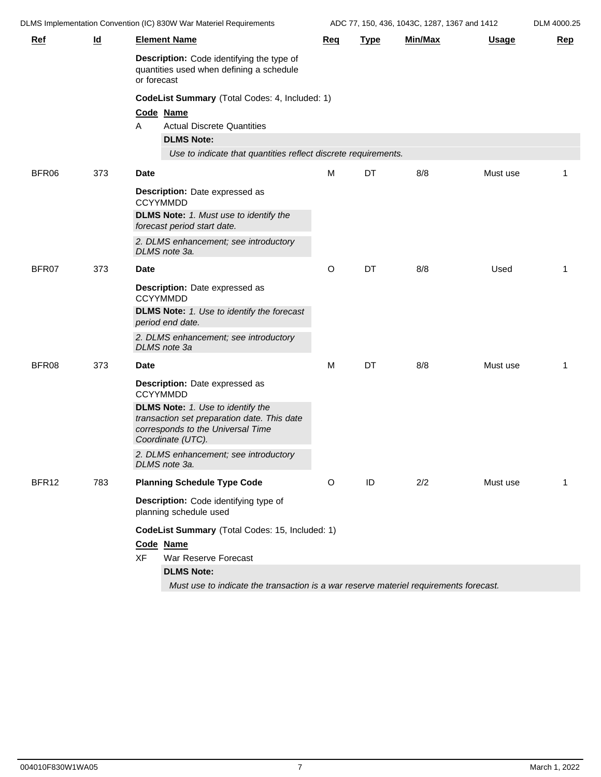DLMS Implementation Convention (IC) 830W War Materiel Requirements ADC 77, 150, 436, 1043C, 1287, 1367 and 1412 DLM 4000.25

| Livio implementation convention (ic) obovy vvar iviatellel isequifements |                           |                                                                                                                                                   | $A$ <sub>D</sub> $O$ , $11$ , 190, 490, 10490, 1207, 1907 and 1412 |             |         |              | <b>DLIVI HUUU.</b> ZU |
|--------------------------------------------------------------------------|---------------------------|---------------------------------------------------------------------------------------------------------------------------------------------------|--------------------------------------------------------------------|-------------|---------|--------------|-----------------------|
| <u>Ref</u>                                                               | $\underline{\mathsf{Id}}$ | <b>Element Name</b>                                                                                                                               | Req                                                                | <b>Type</b> | Min/Max | <u>Usage</u> | <b>Rep</b>            |
|                                                                          |                           | Description: Code identifying the type of<br>quantities used when defining a schedule<br>or forecast                                              |                                                                    |             |         |              |                       |
|                                                                          |                           | CodeList Summary (Total Codes: 4, Included: 1)                                                                                                    |                                                                    |             |         |              |                       |
|                                                                          |                           | Code Name                                                                                                                                         |                                                                    |             |         |              |                       |
|                                                                          |                           | <b>Actual Discrete Quantities</b><br>A                                                                                                            |                                                                    |             |         |              |                       |
|                                                                          |                           | <b>DLMS Note:</b>                                                                                                                                 |                                                                    |             |         |              |                       |
|                                                                          |                           | Use to indicate that quantities reflect discrete requirements.                                                                                    |                                                                    |             |         |              |                       |
| BFR06                                                                    | 373                       | <b>Date</b>                                                                                                                                       | м                                                                  | DT          | 8/8     | Must use     | 1                     |
|                                                                          |                           | <b>Description:</b> Date expressed as<br><b>CCYYMMDD</b>                                                                                          |                                                                    |             |         |              |                       |
|                                                                          |                           | <b>DLMS Note:</b> 1. Must use to identify the<br>forecast period start date.                                                                      |                                                                    |             |         |              |                       |
|                                                                          |                           | 2. DLMS enhancement; see introductory<br>DLMS note 3a.                                                                                            |                                                                    |             |         |              |                       |
| BFR07                                                                    | 373                       | <b>Date</b>                                                                                                                                       | O                                                                  | DT          | 8/8     | Used         | 1                     |
|                                                                          |                           | <b>Description:</b> Date expressed as<br><b>CCYYMMDD</b>                                                                                          |                                                                    |             |         |              |                       |
|                                                                          |                           | <b>DLMS Note:</b> 1. Use to identify the forecast<br>period end date.                                                                             |                                                                    |             |         |              |                       |
|                                                                          |                           | 2. DLMS enhancement; see introductory<br>DLMS note 3a                                                                                             |                                                                    |             |         |              |                       |
| BFR08                                                                    | 373                       | <b>Date</b>                                                                                                                                       | М                                                                  | DT          | 8/8     | Must use     | 1                     |
|                                                                          |                           | Description: Date expressed as<br><b>CCYYMMDD</b>                                                                                                 |                                                                    |             |         |              |                       |
|                                                                          |                           | <b>DLMS Note:</b> 1. Use to identify the<br>transaction set preparation date. This date<br>corresponds to the Universal Time<br>Coordinate (UTC). |                                                                    |             |         |              |                       |
|                                                                          |                           | 2. DLMS enhancement; see introductory<br>DLMS note 3a.                                                                                            |                                                                    |             |         |              |                       |
| BFR12                                                                    | 783                       | <b>Planning Schedule Type Code</b>                                                                                                                | O                                                                  | ID          | 2/2     | Must use     | 1                     |
|                                                                          |                           | Description: Code identifying type of<br>planning schedule used                                                                                   |                                                                    |             |         |              |                       |
|                                                                          |                           | CodeList Summary (Total Codes: 15, Included: 1)                                                                                                   |                                                                    |             |         |              |                       |
|                                                                          |                           | Code Name                                                                                                                                         |                                                                    |             |         |              |                       |
|                                                                          |                           | <b>XF</b><br>War Reserve Forecast                                                                                                                 |                                                                    |             |         |              |                       |
|                                                                          |                           | <b>DLMS Note:</b>                                                                                                                                 |                                                                    |             |         |              |                       |
|                                                                          |                           | Must use to indicate the transaction is a war reserve materiel requirements forecast.                                                             |                                                                    |             |         |              |                       |
|                                                                          |                           |                                                                                                                                                   |                                                                    |             |         |              |                       |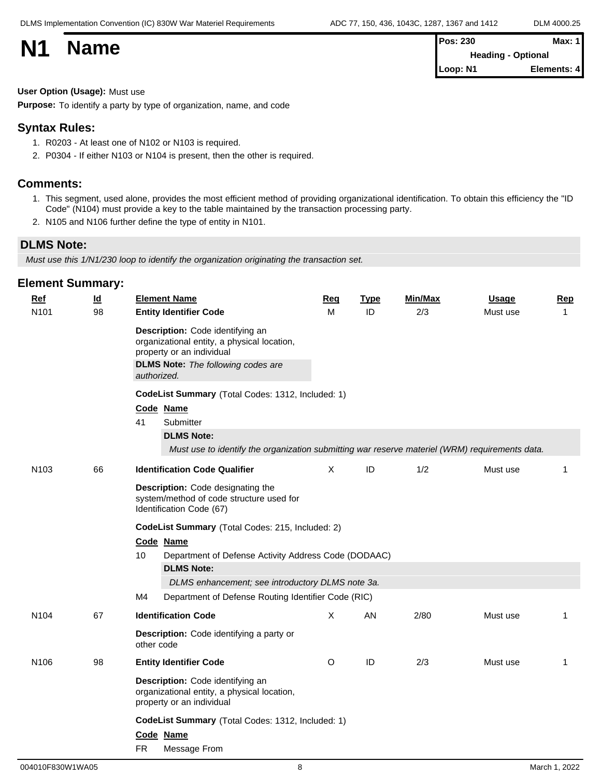| <b>N1</b> | <b>Name</b> | <b>Pos: 230</b>           | Max: 1      |  |  |  |
|-----------|-------------|---------------------------|-------------|--|--|--|
|           |             | <b>Heading - Optional</b> |             |  |  |  |
|           |             | Loop: N1                  | Elements: 4 |  |  |  |

#### **User Option (Usage):** Must use

**Purpose:** To identify a party by type of organization, name, and code

#### **Syntax Rules:**

- 1. R0203 At least one of N102 or N103 is required.
- 2. P0304 If either N103 or N104 is present, then the other is required.

#### **Comments:**

- 1. This segment, used alone, provides the most efficient method of providing organizational identification. To obtain this efficiency the "ID Code" (N104) must provide a key to the table maintained by the transaction processing party.
- 2. N105 and N106 further define the type of entity in N101.

#### **DLMS Note:**

*Must use this 1/N1/230 loop to identify the organization originating the transaction set.*

| $Ref$            | $\underline{\mathsf{Id}}$ |                                                                | <b>Element Name</b>                                                                                                                                                      | <b>Req</b> | <b>Type</b> | Min/Max | <b>Usage</b> | <b>Rep</b>   |  |  |  |
|------------------|---------------------------|----------------------------------------------------------------|--------------------------------------------------------------------------------------------------------------------------------------------------------------------------|------------|-------------|---------|--------------|--------------|--|--|--|
| N <sub>101</sub> | 98                        |                                                                | <b>Entity Identifier Code</b>                                                                                                                                            | M          | ID          | 2/3     | Must use     | $\mathbf{1}$ |  |  |  |
|                  |                           |                                                                | Description: Code identifying an<br>organizational entity, a physical location,<br>property or an individual<br><b>DLMS Note:</b> The following codes are<br>authorized. |            |             |         |              |              |  |  |  |
|                  |                           | CodeList Summary (Total Codes: 1312, Included: 1)<br>Code Name |                                                                                                                                                                          |            |             |         |              |              |  |  |  |
|                  |                           |                                                                |                                                                                                                                                                          |            |             |         |              |              |  |  |  |
|                  |                           | 41                                                             | Submitter                                                                                                                                                                |            |             |         |              |              |  |  |  |
|                  |                           |                                                                | <b>DLMS Note:</b>                                                                                                                                                        |            |             |         |              |              |  |  |  |
|                  |                           |                                                                | Must use to identify the organization submitting war reserve materiel (WRM) requirements data.                                                                           |            |             |         |              |              |  |  |  |
| N <sub>103</sub> | 66                        |                                                                | <b>Identification Code Qualifier</b>                                                                                                                                     | $\times$   | ID          | 1/2     | Must use     | 1            |  |  |  |
|                  |                           |                                                                | Description: Code designating the<br>system/method of code structure used for<br>Identification Code (67)                                                                |            |             |         |              |              |  |  |  |
|                  |                           | CodeList Summary (Total Codes: 215, Included: 2)               |                                                                                                                                                                          |            |             |         |              |              |  |  |  |
|                  |                           |                                                                | Code Name                                                                                                                                                                |            |             |         |              |              |  |  |  |
|                  |                           | 10                                                             | Department of Defense Activity Address Code (DODAAC)                                                                                                                     |            |             |         |              |              |  |  |  |
|                  |                           |                                                                | <b>DLMS Note:</b>                                                                                                                                                        |            |             |         |              |              |  |  |  |
|                  |                           | M4                                                             | DLMS enhancement; see introductory DLMS note 3a.<br>Department of Defense Routing Identifier Code (RIC)                                                                  |            |             |         |              |              |  |  |  |
|                  |                           |                                                                |                                                                                                                                                                          |            |             |         |              |              |  |  |  |
| N <sub>104</sub> | 67                        |                                                                | <b>Identification Code</b>                                                                                                                                               | X          | AN          | 2/80    | Must use     | 1            |  |  |  |
|                  |                           |                                                                | Description: Code identifying a party or<br>other code                                                                                                                   |            |             |         |              |              |  |  |  |
| N <sub>106</sub> | 98                        |                                                                | <b>Entity Identifier Code</b>                                                                                                                                            | O          | ID          | 2/3     | Must use     | $\mathbf 1$  |  |  |  |
|                  |                           |                                                                | Description: Code identifying an<br>organizational entity, a physical location,<br>property or an individual                                                             |            |             |         |              |              |  |  |  |
|                  |                           |                                                                | CodeList Summary (Total Codes: 1312, Included: 1)                                                                                                                        |            |             |         |              |              |  |  |  |
|                  |                           |                                                                | Code Name                                                                                                                                                                |            |             |         |              |              |  |  |  |
|                  |                           | <b>FR</b>                                                      | Message From                                                                                                                                                             |            |             |         |              |              |  |  |  |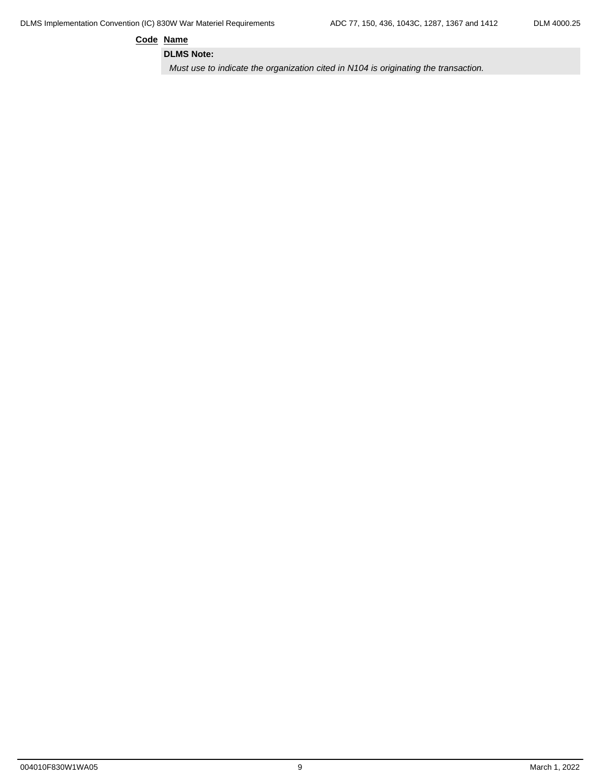**Code Name**

**DLMS Note:**

*Must use to indicate the organization cited in N104 is originating the transaction.*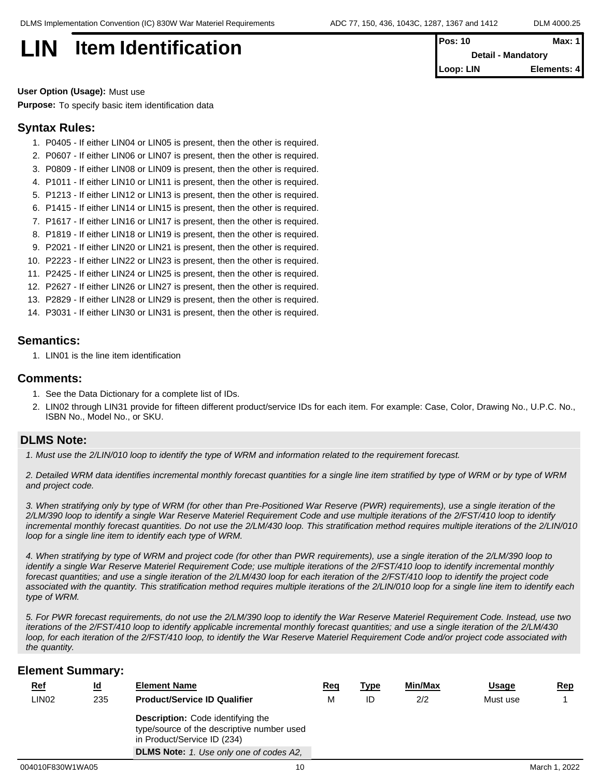**LIN Item Identification** 

| <b>Pos: 10</b>            | Max: $1$    |  |
|---------------------------|-------------|--|
| <b>Detail - Mandatory</b> |             |  |
| Loop: LIN                 | Elements: 4 |  |

**User Option (Usage):** Must use **Purpose:** To specify basic item identification data

#### **Syntax Rules:**

- 1. P0405 If either LIN04 or LIN05 is present, then the other is required.
- 2. P0607 If either LIN06 or LIN07 is present, then the other is required.
- 3. P0809 If either LIN08 or LIN09 is present, then the other is required.
- 4. P1011 If either LIN10 or LIN11 is present, then the other is required.
- 5. P1213 If either LIN12 or LIN13 is present, then the other is required.
- 6. P1415 If either LIN14 or LIN15 is present, then the other is required.
- 7. P1617 If either LIN16 or LIN17 is present, then the other is required.
- 8. P1819 If either LIN18 or LIN19 is present, then the other is required.
- 9. P2021 If either LIN20 or LIN21 is present, then the other is required.
- 10. P2223 If either LIN22 or LIN23 is present, then the other is required.
- 11. P2425 If either LIN24 or LIN25 is present, then the other is required.
- 12. P2627 If either LIN26 or LIN27 is present, then the other is required.
- 13. P2829 If either LIN28 or LIN29 is present, then the other is required.
- 14. P3031 If either LIN30 or LIN31 is present, then the other is required.

#### **Semantics:**

1. LIN01 is the line item identification

#### **Comments:**

- 1. See the Data Dictionary for a complete list of IDs.
- 2. LIN02 through LIN31 provide for fifteen different product/service IDs for each item. For example: Case, Color, Drawing No., U.P.C. No., ISBN No., Model No., or SKU.

#### **DLMS Note:**

*1. Must use the 2/LIN/010 loop to identify the type of WRM and information related to the requirement forecast.* 

*2. Detailed WRM data identifies incremental monthly forecast quantities for a single line item stratified by type of WRM or by type of WRM and project code.*

*3. When stratifying only by type of WRM (for other than Pre-Positioned War Reserve (PWR) requirements), use a single iteration of the 2/LM/390 loop to identify a single War Reserve Materiel Requirement Code and use multiple iterations of the 2/FST/410 loop to identify incremental monthly forecast quantities. Do not use the 2/LM/430 loop. This stratification method requires multiple iterations of the 2/LIN/010 loop for a single line item to identify each type of WRM.*

*4. When stratifying by type of WRM and project code (for other than PWR requirements), use a single iteration of the 2/LM/390 loop to identify a single War Reserve Materiel Requirement Code; use multiple iterations of the 2/FST/410 loop to identify incremental monthly forecast quantities; and use a single iteration of the 2/LM/430 loop for each iteration of the 2/FST/410 loop to identify the project code associated with the quantity. This stratification method requires multiple iterations of the 2/LIN/010 loop for a single line item to identify each type of WRM.*

*5. For PWR forecast requirements, do not use the 2/LM/390 loop to identify the War Reserve Materiel Requirement Code. Instead, use two iterations of the 2/FST/410 loop to identify applicable incremental monthly forecast quantities; and use a single iteration of the 2/LM/430 loop, for each iteration of the 2/FST/410 loop, to identify the War Reserve Materiel Requirement Code and/or project code associated with the quantity.*

| <u>Ref</u>        | <u>ld</u> | <b>Element Name</b>                                                                                                   | <u>Req</u> | <u>Type</u> | Min/Max | <u>Usage</u> | <u>Rep</u>    |
|-------------------|-----------|-----------------------------------------------------------------------------------------------------------------------|------------|-------------|---------|--------------|---------------|
| LIN <sub>02</sub> | 235       | <b>Product/Service ID Qualifier</b>                                                                                   | М          | ID          | 2/2     | Must use     |               |
|                   |           | <b>Description:</b> Code identifying the<br>type/source of the descriptive number used<br>in Product/Service ID (234) |            |             |         |              |               |
|                   |           | <b>DLMS Note:</b> 1. Use only one of codes A2,                                                                        |            |             |         |              |               |
| 004010F830W1WA05  |           | 10                                                                                                                    |            |             |         |              | March 1, 2022 |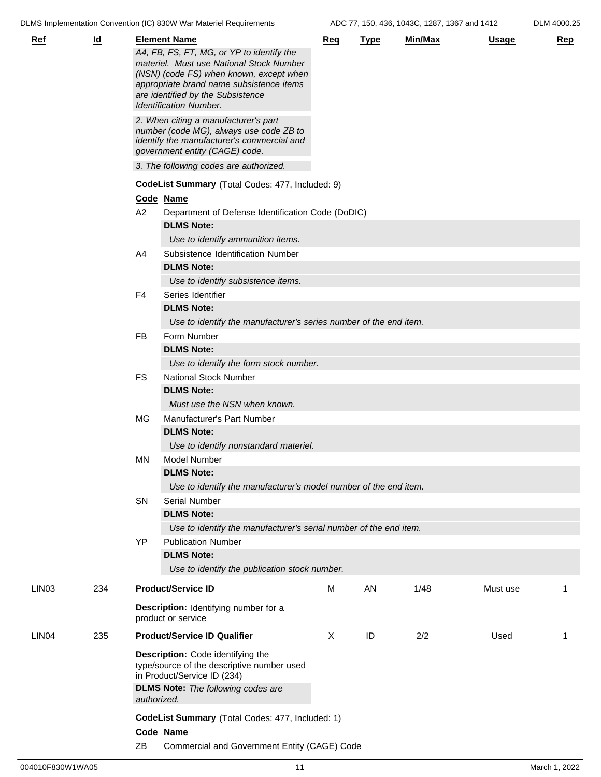DLMS Implementation Convention (IC) 830W War Materiel Requirements ADC 77, 150, 436, 1043C, 1287, 1367 and 1412 DLM 4000.25

| <b>Ref</b>        | $\underline{\mathsf{Id}}$ |                | <b>Element Name</b><br>A4, FB, FS, FT, MG, or YP to identify the<br>materiel. Must use National Stock Number<br>(NSN) (code FS) when known, except when<br>appropriate brand name subsistence items<br>are identified by the Subsistence<br><b>Identification Number.</b> | Req      | <b>Type</b> | Min/Max | <u>Usage</u> | <b>Rep</b> |  |  |  |
|-------------------|---------------------------|----------------|---------------------------------------------------------------------------------------------------------------------------------------------------------------------------------------------------------------------------------------------------------------------------|----------|-------------|---------|--------------|------------|--|--|--|
|                   |                           |                | 2. When citing a manufacturer's part<br>number (code MG), always use code ZB to<br>identify the manufacturer's commercial and<br>government entity (CAGE) code.                                                                                                           |          |             |         |              |            |  |  |  |
|                   |                           |                | 3. The following codes are authorized.                                                                                                                                                                                                                                    |          |             |         |              |            |  |  |  |
|                   |                           |                | CodeList Summary (Total Codes: 477, Included: 9)                                                                                                                                                                                                                          |          |             |         |              |            |  |  |  |
|                   |                           |                | Code Name                                                                                                                                                                                                                                                                 |          |             |         |              |            |  |  |  |
|                   |                           | A <sub>2</sub> | Department of Defense Identification Code (DoDIC)                                                                                                                                                                                                                         |          |             |         |              |            |  |  |  |
|                   |                           |                | <b>DLMS Note:</b>                                                                                                                                                                                                                                                         |          |             |         |              |            |  |  |  |
|                   |                           |                | Use to identify ammunition items.                                                                                                                                                                                                                                         |          |             |         |              |            |  |  |  |
|                   |                           | A4             | Subsistence Identification Number                                                                                                                                                                                                                                         |          |             |         |              |            |  |  |  |
|                   |                           |                | <b>DLMS Note:</b>                                                                                                                                                                                                                                                         |          |             |         |              |            |  |  |  |
|                   |                           |                | Use to identify subsistence items.                                                                                                                                                                                                                                        |          |             |         |              |            |  |  |  |
|                   |                           | F4             | Series Identifier                                                                                                                                                                                                                                                         |          |             |         |              |            |  |  |  |
|                   |                           |                | <b>DLMS Note:</b>                                                                                                                                                                                                                                                         |          |             |         |              |            |  |  |  |
|                   |                           |                | Use to identify the manufacturer's series number of the end item.                                                                                                                                                                                                         |          |             |         |              |            |  |  |  |
|                   |                           | <b>FB</b>      | Form Number                                                                                                                                                                                                                                                               |          |             |         |              |            |  |  |  |
|                   |                           |                | <b>DLMS Note:</b>                                                                                                                                                                                                                                                         |          |             |         |              |            |  |  |  |
|                   |                           |                | Use to identify the form stock number.                                                                                                                                                                                                                                    |          |             |         |              |            |  |  |  |
|                   |                           | <b>FS</b>      | <b>National Stock Number</b>                                                                                                                                                                                                                                              |          |             |         |              |            |  |  |  |
|                   |                           |                | <b>DLMS Note:</b>                                                                                                                                                                                                                                                         |          |             |         |              |            |  |  |  |
|                   |                           |                | Must use the NSN when known.                                                                                                                                                                                                                                              |          |             |         |              |            |  |  |  |
|                   |                           | MG             | Manufacturer's Part Number<br><b>DLMS Note:</b>                                                                                                                                                                                                                           |          |             |         |              |            |  |  |  |
|                   |                           |                |                                                                                                                                                                                                                                                                           |          |             |         |              |            |  |  |  |
|                   |                           |                | Use to identify nonstandard materiel.                                                                                                                                                                                                                                     |          |             |         |              |            |  |  |  |
|                   |                           | MN             | <b>Model Number</b>                                                                                                                                                                                                                                                       |          |             |         |              |            |  |  |  |
|                   |                           |                | <b>DLMS Note:</b>                                                                                                                                                                                                                                                         |          |             |         |              |            |  |  |  |
|                   |                           |                | Use to identify the manufacturer's model number of the end item.                                                                                                                                                                                                          |          |             |         |              |            |  |  |  |
|                   |                           | SN             | <b>Serial Number</b>                                                                                                                                                                                                                                                      |          |             |         |              |            |  |  |  |
|                   |                           |                | <b>DLMS Note:</b><br>Use to identify the manufacturer's serial number of the end item.                                                                                                                                                                                    |          |             |         |              |            |  |  |  |
|                   |                           | YP             | <b>Publication Number</b>                                                                                                                                                                                                                                                 |          |             |         |              |            |  |  |  |
|                   |                           |                | <b>DLMS Note:</b>                                                                                                                                                                                                                                                         |          |             |         |              |            |  |  |  |
|                   |                           |                | Use to identify the publication stock number.                                                                                                                                                                                                                             |          |             |         |              |            |  |  |  |
| LIN <sub>03</sub> | 234                       |                | <b>Product/Service ID</b>                                                                                                                                                                                                                                                 | М        | AN          | 1/48    | Must use     |            |  |  |  |
|                   |                           |                | Description: Identifying number for a<br>product or service                                                                                                                                                                                                               |          |             |         |              |            |  |  |  |
| LIN <sub>04</sub> | 235                       |                | <b>Product/Service ID Qualifier</b>                                                                                                                                                                                                                                       | $\times$ | ID          | 2/2     | Used         | 1          |  |  |  |
|                   |                           |                | Description: Code identifying the<br>type/source of the descriptive number used<br>in Product/Service ID (234)                                                                                                                                                            |          |             |         |              |            |  |  |  |
|                   |                           | authorized.    | <b>DLMS Note:</b> The following codes are                                                                                                                                                                                                                                 |          |             |         |              |            |  |  |  |
|                   |                           |                | CodeList Summary (Total Codes: 477, Included: 1)                                                                                                                                                                                                                          |          |             |         |              |            |  |  |  |
|                   |                           |                | Code Name                                                                                                                                                                                                                                                                 |          |             |         |              |            |  |  |  |
|                   |                           | ZΒ             | Commercial and Government Entity (CAGE) Code                                                                                                                                                                                                                              |          |             |         |              |            |  |  |  |
|                   |                           |                |                                                                                                                                                                                                                                                                           |          |             |         |              |            |  |  |  |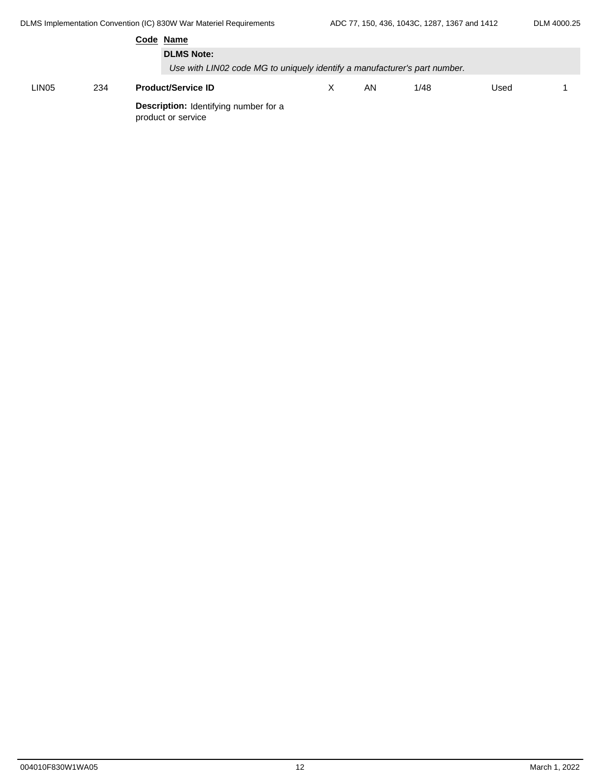|       |     | Code Name                                                          |                                                                           |    |      |      |  |  |  |  |
|-------|-----|--------------------------------------------------------------------|---------------------------------------------------------------------------|----|------|------|--|--|--|--|
|       |     | <b>DLMS Note:</b>                                                  |                                                                           |    |      |      |  |  |  |  |
|       |     |                                                                    | Use with LIN02 code MG to uniquely identify a manufacturer's part number. |    |      |      |  |  |  |  |
| LIN05 | 234 | <b>Product/Service ID</b>                                          | X                                                                         | ΑN | 1/48 | Used |  |  |  |  |
|       |     | <b>Description:</b> Identifying number for a<br>product or service |                                                                           |    |      |      |  |  |  |  |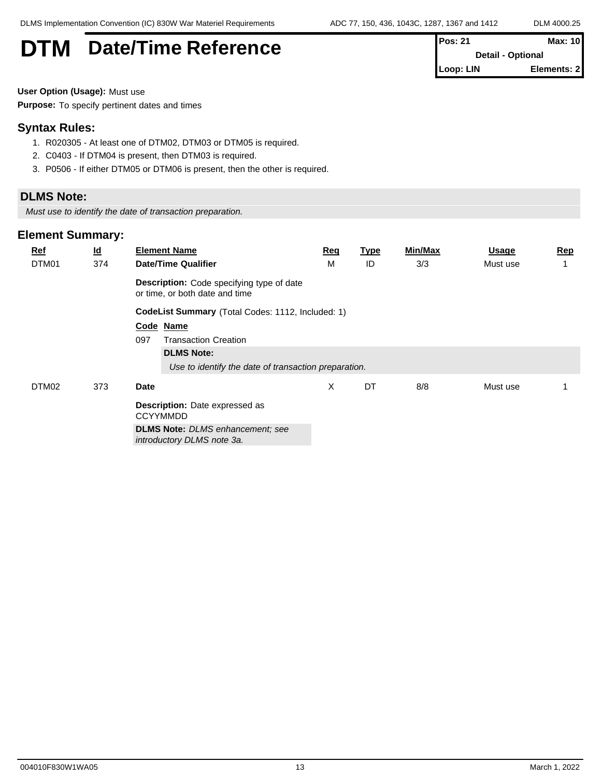| <b>DTM</b><br><b>Date/Time Reference</b> | lPos: 21<br><b>Detail - Optional</b> | <b>Max: 10</b> |
|------------------------------------------|--------------------------------------|----------------|
|                                          | Loop: LIN                            | Elements: 2    |

**User Option (Usage):** Must use

**Purpose:** To specify pertinent dates and times

#### **Syntax Rules:**

- 1. R020305 At least one of DTM02, DTM03 or DTM05 is required.
- 2. C0403 If DTM04 is present, then DTM03 is required.
- 3. P0506 If either DTM05 or DTM06 is present, then the other is required.

#### **DLMS Note:**

*Must use to identify the date of transaction preparation.*

| $Ref$ | $\underline{\mathsf{Id}}$ | <b>Element Name</b>                                                         | <u>Req</u> | <u>Type</u> | <b>Min/Max</b> | Usage    | <u>Rep</u> |
|-------|---------------------------|-----------------------------------------------------------------------------|------------|-------------|----------------|----------|------------|
| DTM01 | 374                       | <b>Date/Time Qualifier</b>                                                  | М          | ID          | 3/3            | Must use | 1          |
|       |                           | Description: Code specifying type of date<br>or time, or both date and time |            |             |                |          |            |
|       |                           | CodeList Summary (Total Codes: 1112, Included: 1)                           |            |             |                |          |            |
|       |                           | Code Name                                                                   |            |             |                |          |            |
|       |                           | 097<br><b>Transaction Creation</b>                                          |            |             |                |          |            |
|       |                           | <b>DLMS Note:</b>                                                           |            |             |                |          |            |
|       |                           | Use to identify the date of transaction preparation.                        |            |             |                |          |            |
| DTM02 | 373                       | Date                                                                        | Χ          | DT          | 8/8            | Must use |            |
|       |                           | Description: Date expressed as<br><b>CCYYMMDD</b>                           |            |             |                |          |            |
|       |                           | <b>DLMS Note:</b> DLMS enhancement; see<br>introductory DLMS note 3a.       |            |             |                |          |            |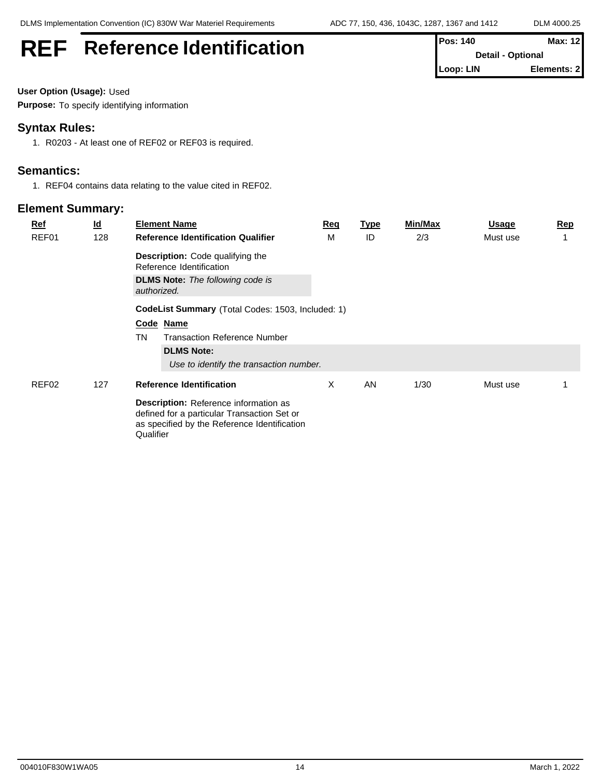| Elements: 2<br>Loop: LIN | <b>REF</b> | <b>Reference Identification</b> | <b>Pos: 140</b><br><b>Detail - Optional</b> | <b>Max: 12</b> |
|--------------------------|------------|---------------------------------|---------------------------------------------|----------------|
|                          |            |                                 |                                             |                |

**User Option (Usage):** Used

**Purpose:** To specify identifying information

#### **Syntax Rules:**

1. R0203 - At least one of REF02 or REF03 is required.

#### **Semantics:**

1. REF04 contains data relating to the value cited in REF02.

| <b>Ref</b><br>REF01 | $\underline{\mathsf{Id}}$<br>128        | <b>Element Name</b><br><b>Reference Identification Qualifier</b>                                                                                  | <u>Req</u><br>м | <u>Type</u><br>ID | Min/Max<br>2/3 | <b>Usage</b><br>Must use | <b>Rep</b> |
|---------------------|-----------------------------------------|---------------------------------------------------------------------------------------------------------------------------------------------------|-----------------|-------------------|----------------|--------------------------|------------|
|                     |                                         | <b>Description:</b> Code qualifying the<br>Reference Identification                                                                               |                 |                   |                |                          |            |
|                     |                                         | <b>DLMS Note:</b> The following code is<br>authorized.                                                                                            |                 |                   |                |                          |            |
|                     |                                         | CodeList Summary (Total Codes: 1503, Included: 1)                                                                                                 |                 |                   |                |                          |            |
|                     |                                         | Code Name                                                                                                                                         |                 |                   |                |                          |            |
|                     |                                         | <b>Transaction Reference Number</b><br><b>TN</b>                                                                                                  |                 |                   |                |                          |            |
|                     |                                         | <b>DLMS Note:</b>                                                                                                                                 |                 |                   |                |                          |            |
|                     | Use to identify the transaction number. |                                                                                                                                                   |                 |                   |                |                          |            |
| REF02               | 127                                     | <b>Reference Identification</b>                                                                                                                   | X               | AN                | 1/30           | Must use                 |            |
|                     |                                         | Description: Reference information as<br>defined for a particular Transaction Set or<br>as specified by the Reference Identification<br>Qualifier |                 |                   |                |                          |            |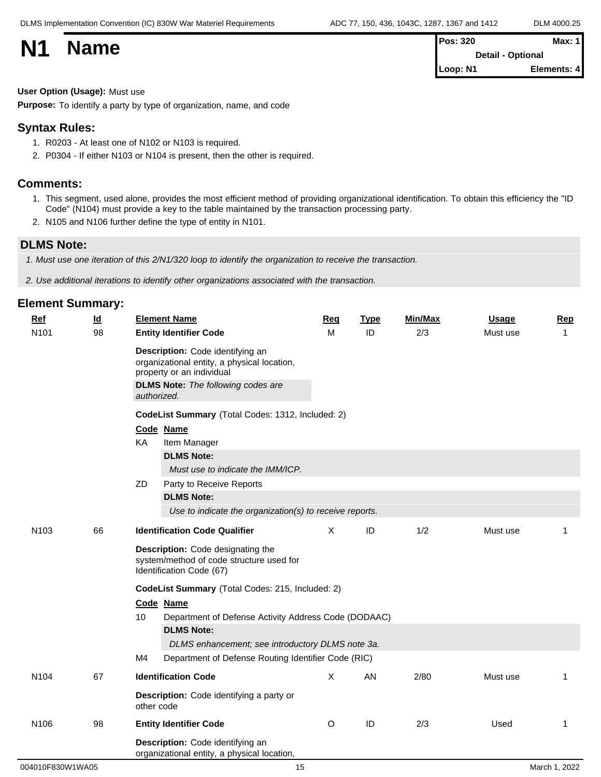| <b>N1</b> | <b>Name</b> | <b>Pos: 320</b>          | <b>Max: 1</b> |  |
|-----------|-------------|--------------------------|---------------|--|
|           |             | <b>Detail - Optional</b> |               |  |
|           |             | Loop: N1                 | Elements: 4   |  |

#### **User Option (Usage):** Must use

**Purpose:** To identify a party by type of organization, name, and code

#### **Syntax Rules:**

- 1. R0203 At least one of N102 or N103 is required.
- 2. P0304 If either N103 or N104 is present, then the other is required.

#### **Comments:**

- 1. This segment, used alone, provides the most efficient method of providing organizational identification. To obtain this efficiency the "ID Code" (N104) must provide a key to the table maintained by the transaction processing party.
- 2. N105 and N106 further define the type of entity in N101.

#### **DLMS Note:**

*1. Must use one iteration of this 2/N1/320 loop to identify the organization to receive the transaction.*

*2. Use additional iterations to identify other organizations associated with the transaction.*

| <b>Ref</b>       | $\underline{\mathsf{Id}}$ | <b>Element Name</b>                                                                                                                                                      | Req | <b>Type</b>   | <b>Min/Max</b> | <b>Usage</b> | Rep          |  |  |  |
|------------------|---------------------------|--------------------------------------------------------------------------------------------------------------------------------------------------------------------------|-----|---------------|----------------|--------------|--------------|--|--|--|
| N101             | 98                        | <b>Entity Identifier Code</b>                                                                                                                                            | M   | ID            | 2/3            | Must use     | 1            |  |  |  |
|                  |                           | Description: Code identifying an<br>organizational entity, a physical location,<br>property or an individual<br><b>DLMS Note:</b> The following codes are<br>authorized. |     |               |                |              |              |  |  |  |
|                  |                           | CodeList Summary (Total Codes: 1312, Included: 2)                                                                                                                        |     |               |                |              |              |  |  |  |
|                  |                           | Code Name                                                                                                                                                                |     |               |                |              |              |  |  |  |
|                  |                           | KA<br>Item Manager                                                                                                                                                       |     |               |                |              |              |  |  |  |
|                  |                           | <b>DLMS Note:</b>                                                                                                                                                        |     |               |                |              |              |  |  |  |
|                  |                           | Must use to indicate the IMM/ICP.                                                                                                                                        |     |               |                |              |              |  |  |  |
|                  |                           | ZD<br>Party to Receive Reports                                                                                                                                           |     |               |                |              |              |  |  |  |
|                  |                           | <b>DLMS Note:</b>                                                                                                                                                        |     |               |                |              |              |  |  |  |
|                  |                           | Use to indicate the organization(s) to receive reports.                                                                                                                  |     |               |                |              |              |  |  |  |
| N <sub>103</sub> | 66                        | <b>Identification Code Qualifier</b>                                                                                                                                     | X   | ID            | 1/2            | Must use     | 1            |  |  |  |
|                  |                           | Description: Code designating the<br>system/method of code structure used for<br>Identification Code (67)                                                                |     |               |                |              |              |  |  |  |
|                  |                           | CodeList Summary (Total Codes: 215, Included: 2)                                                                                                                         |     |               |                |              |              |  |  |  |
|                  |                           | Code Name                                                                                                                                                                |     |               |                |              |              |  |  |  |
|                  |                           | 10<br>Department of Defense Activity Address Code (DODAAC)                                                                                                               |     |               |                |              |              |  |  |  |
|                  |                           | <b>DLMS Note:</b>                                                                                                                                                        |     |               |                |              |              |  |  |  |
|                  |                           | DLMS enhancement; see introductory DLMS note 3a.                                                                                                                         |     |               |                |              |              |  |  |  |
|                  |                           | M4<br>Department of Defense Routing Identifier Code (RIC)                                                                                                                |     |               |                |              |              |  |  |  |
| N <sub>104</sub> | 67                        | <b>Identification Code</b>                                                                                                                                               | X   | AN            | 2/80           | Must use     | 1            |  |  |  |
|                  |                           | Description: Code identifying a party or<br>other code                                                                                                                   |     |               |                |              |              |  |  |  |
| N <sub>106</sub> | 98                        | <b>Entity Identifier Code</b>                                                                                                                                            | O   | $\mathsf{ID}$ | 2/3            | Used         | $\mathbf{1}$ |  |  |  |
|                  |                           | Description: Code identifying an<br>organizational entity, a physical location,                                                                                          |     |               |                |              |              |  |  |  |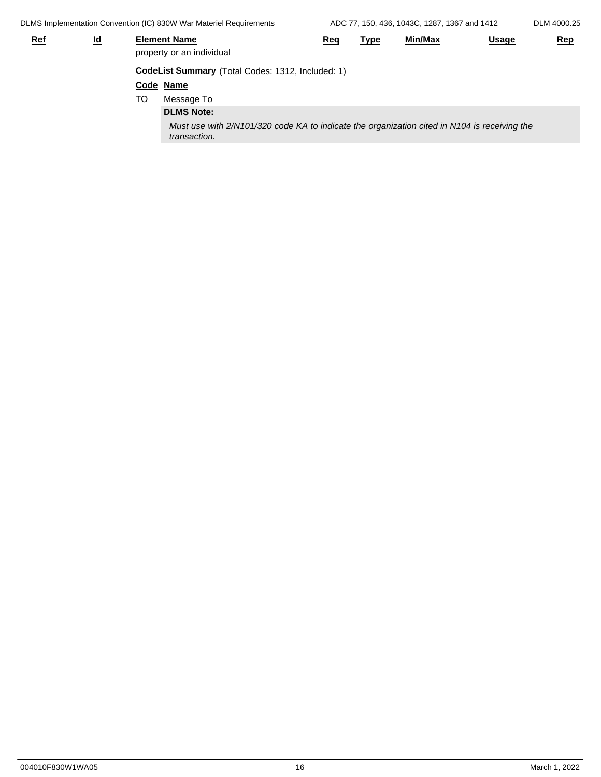DLMS Implementation Convention (IC) 830W War Materiel Requirements ADC 77, 150, 436, 1043C, 1287, 1367 and 1412

| DLM 4000.25 |  |
|-------------|--|
|             |  |

| <u>Ref</u> | <u>ld</u> |    | <b>Element Name</b><br>property or an individual                                                             | Req | <u>Type</u> | <u>Min/Max</u> | <b>Usage</b> | Rep |
|------------|-----------|----|--------------------------------------------------------------------------------------------------------------|-----|-------------|----------------|--------------|-----|
|            |           |    | CodeList Summary (Total Codes: 1312, Included: 1)                                                            |     |             |                |              |     |
|            |           |    | Code Name                                                                                                    |     |             |                |              |     |
|            |           | TO | Message To                                                                                                   |     |             |                |              |     |
|            |           |    | <b>DLMS Note:</b>                                                                                            |     |             |                |              |     |
|            |           |    | Must use with 2/N101/320 code KA to indicate the organization cited in N104 is receiving the<br>transaction. |     |             |                |              |     |
|            |           |    |                                                                                                              |     |             |                |              |     |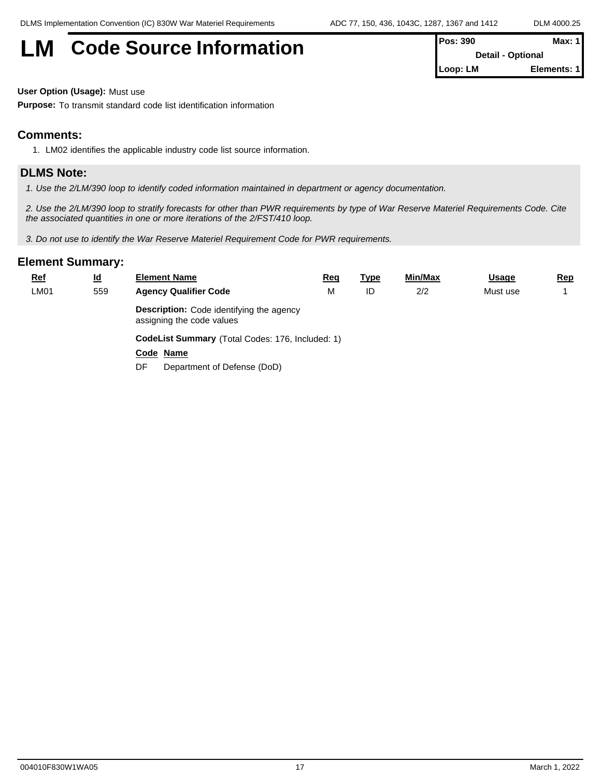# **LM** Code Source Information **Pos:** 390 **Max:** 1

| 1 FUS. JJU | IVIAA. I I               |  |
|------------|--------------------------|--|
|            | <b>Detail - Optional</b> |  |
| ∥Loop: LM  | Elements: 1              |  |

**User Option (Usage):** Must use

**Purpose:** To transmit standard code list identification information

#### **Comments:**

1. LM02 identifies the applicable industry code list source information.

#### **DLMS Note:**

*1. Use the 2/LM/390 loop to identify coded information maintained in department or agency documentation.*

*2. Use the 2/LM/390 loop to stratify forecasts for other than PWR requirements by type of War Reserve Materiel Requirements Code. Cite the associated quantities in one or more iterations of the 2/FST/410 loop.*

*3. Do not use to identify the War Reserve Materiel Requirement Code for PWR requirements.*

| <u>Ref</u> | $\underline{\mathsf{Id}}$                                                    | <b>Element Name</b>                              | <u>Req</u> | Type | Min/Max | <b>Usage</b> | <u>Rep</u> |  |  |
|------------|------------------------------------------------------------------------------|--------------------------------------------------|------------|------|---------|--------------|------------|--|--|
| LM01       | 559                                                                          | <b>Agency Qualifier Code</b>                     | M          | ID   | 2/2     | Must use     |            |  |  |
|            | <b>Description:</b> Code identifying the agency<br>assigning the code values |                                                  |            |      |         |              |            |  |  |
|            |                                                                              | CodeList Summary (Total Codes: 176, Included: 1) |            |      |         |              |            |  |  |
|            |                                                                              | Code Name                                        |            |      |         |              |            |  |  |
|            |                                                                              | Department of Defense (DoD)<br>DF                |            |      |         |              |            |  |  |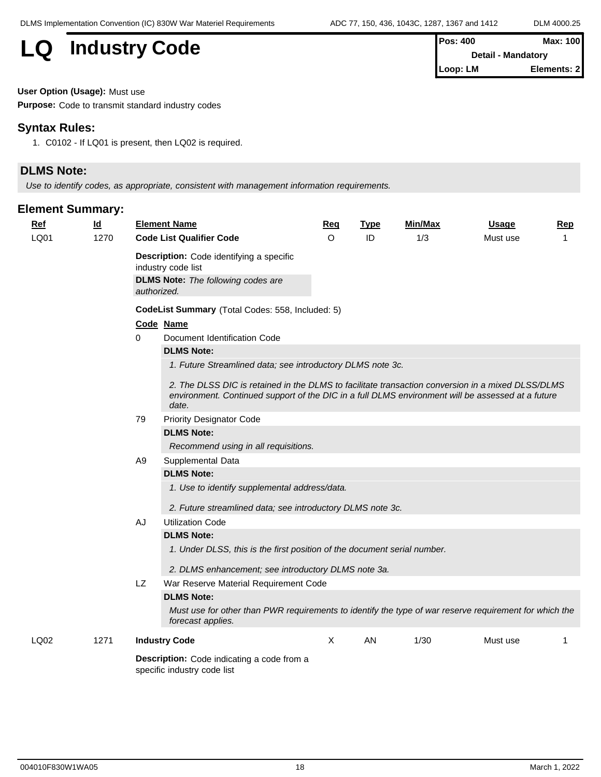# **LQ** Industry Code

| l Pos: 400                | Max: 100    |  |
|---------------------------|-------------|--|
| <b>Detail - Mandatory</b> |             |  |
| l Loop: LM                | Elements: 2 |  |

**User Option (Usage):** Must use

**Purpose:** Code to transmit standard industry codes

#### **Syntax Rules:**

1. C0102 - If LQ01 is present, then LQ02 is required.

#### **DLMS Note:**

*Use to identify codes, as appropriate, consistent with management information requirements.*

| $Ref$ | $\underline{\mathsf{Id}}$ |                | <b>Element Name</b>                                                                                                                                                                                             | Req      | <b>Type</b> | Min/Max | <b>Usage</b> | Rep |  |  |  |  |
|-------|---------------------------|----------------|-----------------------------------------------------------------------------------------------------------------------------------------------------------------------------------------------------------------|----------|-------------|---------|--------------|-----|--|--|--|--|
| LQ01  | 1270                      |                | <b>Code List Qualifier Code</b>                                                                                                                                                                                 | $\Omega$ | ID          | 1/3     | Must use     | 1   |  |  |  |  |
|       |                           |                | Description: Code identifying a specific                                                                                                                                                                        |          |             |         |              |     |  |  |  |  |
|       |                           |                | industry code list                                                                                                                                                                                              |          |             |         |              |     |  |  |  |  |
|       |                           |                | <b>DLMS Note:</b> The following codes are                                                                                                                                                                       |          |             |         |              |     |  |  |  |  |
|       |                           | authorized.    |                                                                                                                                                                                                                 |          |             |         |              |     |  |  |  |  |
|       |                           |                | CodeList Summary (Total Codes: 558, Included: 5)                                                                                                                                                                |          |             |         |              |     |  |  |  |  |
|       |                           |                | Code Name                                                                                                                                                                                                       |          |             |         |              |     |  |  |  |  |
|       |                           | $\Omega$       | Document Identification Code                                                                                                                                                                                    |          |             |         |              |     |  |  |  |  |
|       |                           |                | <b>DLMS Note:</b>                                                                                                                                                                                               |          |             |         |              |     |  |  |  |  |
|       |                           |                | 1. Future Streamlined data; see introductory DLMS note 3c.                                                                                                                                                      |          |             |         |              |     |  |  |  |  |
|       |                           |                | 2. The DLSS DIC is retained in the DLMS to facilitate transaction conversion in a mixed DLSS/DLMS<br>environment. Continued support of the DIC in a full DLMS environment will be assessed at a future<br>date. |          |             |         |              |     |  |  |  |  |
|       |                           | 79             | <b>Priority Designator Code</b>                                                                                                                                                                                 |          |             |         |              |     |  |  |  |  |
|       |                           |                | <b>DLMS Note:</b>                                                                                                                                                                                               |          |             |         |              |     |  |  |  |  |
|       |                           |                | Recommend using in all requisitions.                                                                                                                                                                            |          |             |         |              |     |  |  |  |  |
|       |                           | A <sub>9</sub> | Supplemental Data                                                                                                                                                                                               |          |             |         |              |     |  |  |  |  |
|       |                           |                | <b>DLMS Note:</b>                                                                                                                                                                                               |          |             |         |              |     |  |  |  |  |
|       |                           |                | 1. Use to identify supplemental address/data.                                                                                                                                                                   |          |             |         |              |     |  |  |  |  |
|       |                           |                | 2. Future streamlined data; see introductory DLMS note 3c.                                                                                                                                                      |          |             |         |              |     |  |  |  |  |
|       |                           |                | <b>Utilization Code</b>                                                                                                                                                                                         |          |             |         |              |     |  |  |  |  |
|       |                           | AJ             | <b>DLMS Note:</b>                                                                                                                                                                                               |          |             |         |              |     |  |  |  |  |
|       |                           |                |                                                                                                                                                                                                                 |          |             |         |              |     |  |  |  |  |
|       |                           |                | 1. Under DLSS, this is the first position of the document serial number.                                                                                                                                        |          |             |         |              |     |  |  |  |  |
|       |                           |                | 2. DLMS enhancement; see introductory DLMS note 3a.                                                                                                                                                             |          |             |         |              |     |  |  |  |  |
|       |                           | LZ.            | War Reserve Material Requirement Code                                                                                                                                                                           |          |             |         |              |     |  |  |  |  |
|       |                           |                | <b>DLMS Note:</b>                                                                                                                                                                                               |          |             |         |              |     |  |  |  |  |
|       |                           |                | Must use for other than PWR requirements to identify the type of war reserve requirement for which the<br>forecast applies.                                                                                     |          |             |         |              |     |  |  |  |  |
| LQ02  | 1271                      |                | <b>Industry Code</b>                                                                                                                                                                                            | X        | AN          | 1/30    | Must use     | 1   |  |  |  |  |
|       |                           |                | Description: Code indicating a code from a<br>specific industry code list                                                                                                                                       |          |             |         |              |     |  |  |  |  |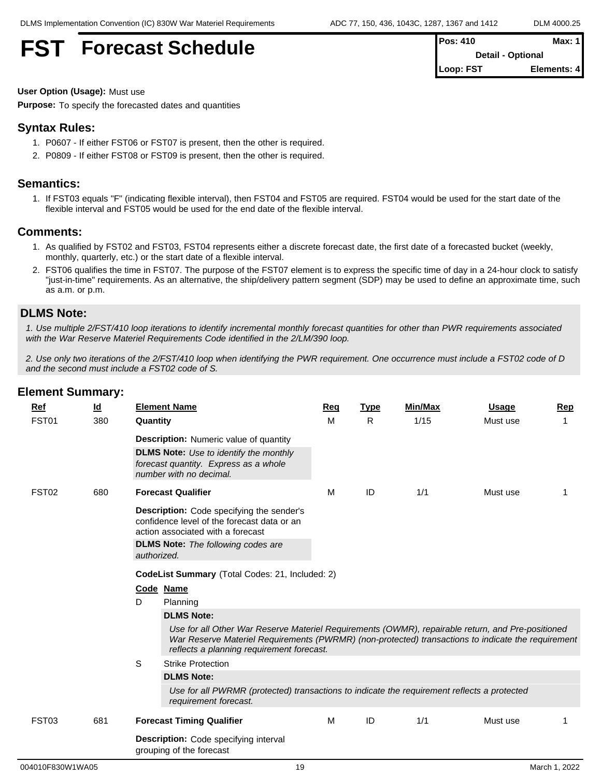## **FST** Forecast Schedule

| <b>Pos: 410</b>          | Max: 1      |
|--------------------------|-------------|
| <b>Detail - Optional</b> |             |
| Loop: FST                | Elements: 4 |

**User Option (Usage):** Must use

**Purpose:** To specify the forecasted dates and quantities

#### **Syntax Rules:**

- 1. P0607 If either FST06 or FST07 is present, then the other is required.
- 2. P0809 If either FST08 or FST09 is present, then the other is required.

#### **Semantics:**

1. If FST03 equals "F" (indicating flexible interval), then FST04 and FST05 are required. FST04 would be used for the start date of the flexible interval and FST05 would be used for the end date of the flexible interval.

#### **Comments:**

- 1. As qualified by FST02 and FST03, FST04 represents either a discrete forecast date, the first date of a forecasted bucket (weekly, monthly, quarterly, etc.) or the start date of a flexible interval.
- 2. FST06 qualifies the time in FST07. The purpose of the FST07 element is to express the specific time of day in a 24-hour clock to satisfy "just-in-time" requirements. As an alternative, the ship/delivery pattern segment (SDP) may be used to define an approximate time, such as a.m. or p.m.

#### **DLMS Note:**

*1. Use multiple 2/FST/410 loop iterations to identify incremental monthly forecast quantities for other than PWR requirements associated with the War Reserve Materiel Requirements Code identified in the 2/LM/390 loop.*

*2. Use only two iterations of the 2/FST/410 loop when identifying the PWR requirement. One occurrence must include a FST02 code of D and the second must include a FST02 code of S.*

| Ref               | $\underline{\mathsf{Id}}$ | <b>Element Name</b>                             |                                                                                                                                                                                                                                                      | Rea | Type | <b>Min/Max</b> | <b>Usage</b> | Rep |  |  |
|-------------------|---------------------------|-------------------------------------------------|------------------------------------------------------------------------------------------------------------------------------------------------------------------------------------------------------------------------------------------------------|-----|------|----------------|--------------|-----|--|--|
| FST01             | 380                       | Quantity                                        |                                                                                                                                                                                                                                                      | M   | R.   | 1/15           | Must use     | 1   |  |  |
|                   |                           |                                                 | <b>Description:</b> Numeric value of quantity<br><b>DLMS Note:</b> Use to identify the monthly<br>forecast quantity. Express as a whole<br>number with no decimal.                                                                                   |     |      |                |              |     |  |  |
|                   |                           |                                                 |                                                                                                                                                                                                                                                      |     |      |                |              |     |  |  |
| FST <sub>02</sub> | 680                       | <b>Forecast Qualifier</b>                       |                                                                                                                                                                                                                                                      | м   | ID   | 1/1            | Must use     |     |  |  |
|                   |                           | authorized.                                     | <b>Description:</b> Code specifying the sender's<br>confidence level of the forecast data or an<br>action associated with a forecast<br><b>DLMS Note:</b> The following codes are                                                                    |     |      |                |              |     |  |  |
|                   |                           | CodeList Summary (Total Codes: 21, Included: 2) |                                                                                                                                                                                                                                                      |     |      |                |              |     |  |  |
|                   |                           | Code Name                                       |                                                                                                                                                                                                                                                      |     |      |                |              |     |  |  |
|                   |                           | D<br>Planning                                   |                                                                                                                                                                                                                                                      |     |      |                |              |     |  |  |
|                   |                           |                                                 | <b>DLMS Note:</b>                                                                                                                                                                                                                                    |     |      |                |              |     |  |  |
|                   |                           |                                                 | Use for all Other War Reserve Materiel Requirements (OWMR), repairable return, and Pre-positioned<br>War Reserve Materiel Requirements (PWRMR) (non-protected) transactions to indicate the requirement<br>reflects a planning requirement forecast. |     |      |                |              |     |  |  |
|                   |                           | S                                               | <b>Strike Protection</b>                                                                                                                                                                                                                             |     |      |                |              |     |  |  |
|                   |                           |                                                 | <b>DLMS Note:</b>                                                                                                                                                                                                                                    |     |      |                |              |     |  |  |
|                   |                           |                                                 | Use for all PWRMR (protected) transactions to indicate the requirement reflects a protected<br>requirement forecast.                                                                                                                                 |     |      |                |              |     |  |  |
| FST03             | 681                       |                                                 | <b>Forecast Timing Qualifier</b>                                                                                                                                                                                                                     | M   | ID   | 1/1            | Must use     |     |  |  |
|                   |                           | grouping of the forecast                        | <b>Description:</b> Code specifying interval                                                                                                                                                                                                         |     |      |                |              |     |  |  |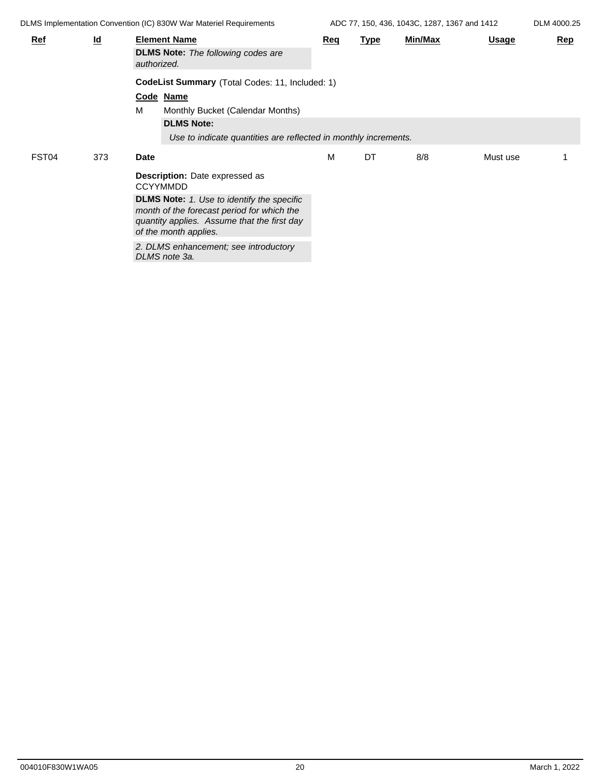ADC 77, 150, 436, 1043C, 1287, 1367 and 1412 DLM 4000.25

| <b>Ref</b> | $\underline{\mathsf{Id}}$ | <b>Element Name</b><br><b>DLMS Note:</b> The following codes are<br>authorized. |                                                                                                                                                                         | Req | <b>Type</b> | Min/Max | <b>Usage</b> | Rep |  |
|------------|---------------------------|---------------------------------------------------------------------------------|-------------------------------------------------------------------------------------------------------------------------------------------------------------------------|-----|-------------|---------|--------------|-----|--|
|            |                           |                                                                                 | CodeList Summary (Total Codes: 11, Included: 1)                                                                                                                         |     |             |         |              |     |  |
|            |                           |                                                                                 | Code Name                                                                                                                                                               |     |             |         |              |     |  |
|            |                           | M                                                                               | Monthly Bucket (Calendar Months)                                                                                                                                        |     |             |         |              |     |  |
|            |                           |                                                                                 | <b>DLMS Note:</b>                                                                                                                                                       |     |             |         |              |     |  |
|            |                           |                                                                                 | Use to indicate quantities are reflected in monthly increments.                                                                                                         |     |             |         |              |     |  |
| FST04      | 373                       | Date                                                                            |                                                                                                                                                                         | М   | DT          | 8/8     | Must use     |     |  |
|            |                           |                                                                                 | Description: Date expressed as<br><b>CCYYMMDD</b>                                                                                                                       |     |             |         |              |     |  |
|            |                           |                                                                                 | <b>DLMS Note:</b> 1. Use to identify the specific<br>month of the forecast period for which the<br>quantity applies. Assume that the first day<br>of the month applies. |     |             |         |              |     |  |
|            |                           |                                                                                 | 2. DLMS enhancement; see introductory<br>DLMS note 3a.                                                                                                                  |     |             |         |              |     |  |
|            |                           |                                                                                 |                                                                                                                                                                         |     |             |         |              |     |  |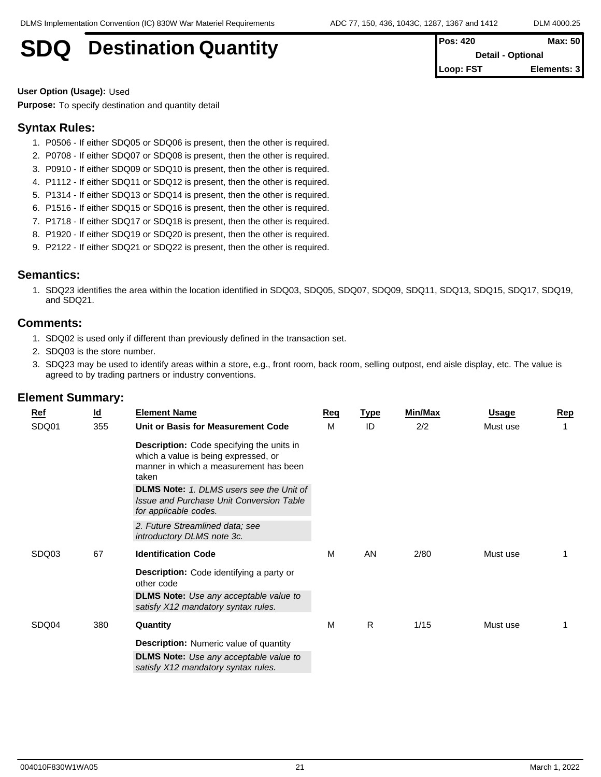## **SDQ** Destination Quantity

| <b>Pos: 420</b>          | <b>Max: 501</b> |  |  |  |  |
|--------------------------|-----------------|--|--|--|--|
| <b>Detail - Optional</b> |                 |  |  |  |  |
| Loop: FST                | Elements: 31    |  |  |  |  |

**User Option (Usage):** Used

**Purpose:** To specify destination and quantity detail

#### **Syntax Rules:**

- 1. P0506 If either SDQ05 or SDQ06 is present, then the other is required.
- 2. P0708 If either SDQ07 or SDQ08 is present, then the other is required.
- 3. P0910 If either SDQ09 or SDQ10 is present, then the other is required.
- 4. P1112 If either SDQ11 or SDQ12 is present, then the other is required.
- 5. P1314 If either SDQ13 or SDQ14 is present, then the other is required.
- 6. P1516 If either SDQ15 or SDQ16 is present, then the other is required.
- 7. P1718 If either SDQ17 or SDQ18 is present, then the other is required.
- 8. P1920 If either SDQ19 or SDQ20 is present, then the other is required.
- 9. P2122 If either SDQ21 or SDQ22 is present, then the other is required.

#### **Semantics:**

1. SDQ23 identifies the area within the location identified in SDQ03, SDQ05, SDQ07, SDQ09, SDQ11, SDQ13, SDQ15, SDQ17, SDQ19, and SDQ21.

#### **Comments:**

- 1. SDQ02 is used only if different than previously defined in the transaction set.
- 2. SDQ03 is the store number.
- 3. SDQ23 may be used to identify areas within a store, e.g., front room, back room, selling outpost, end aisle display, etc. The value is agreed to by trading partners or industry conventions.

| Ref   | <u>ld</u> | <b>Element Name</b>                                                                  | Reg | <u>Type</u> | Min/Max | <u>Usage</u> | Rep |
|-------|-----------|--------------------------------------------------------------------------------------|-----|-------------|---------|--------------|-----|
| SDQ01 | 355       | Unit or Basis for Measurement Code                                                   | M   | ID          | 2/2     | Must use     |     |
|       |           | Description: Code specifying the units in                                            |     |             |         |              |     |
|       |           | which a value is being expressed, or<br>manner in which a measurement has been       |     |             |         |              |     |
|       |           | taken                                                                                |     |             |         |              |     |
|       |           | <b>DLMS Note:</b> 1. DLMS users see the Unit of                                      |     |             |         |              |     |
|       |           | <b>Issue and Purchase Unit Conversion Table</b><br>for applicable codes.             |     |             |         |              |     |
|       |           | 2. Future Streamlined data; see<br>introductory DLMS note 3c.                        |     |             |         |              |     |
|       |           |                                                                                      |     |             |         |              |     |
| SDQ03 | 67        | <b>Identification Code</b>                                                           | M   | AN          | 2/80    | Must use     |     |
|       |           | Description: Code identifying a party or<br>other code                               |     |             |         |              |     |
|       |           | <b>DLMS Note:</b> Use any acceptable value to<br>satisfy X12 mandatory syntax rules. |     |             |         |              |     |
| SDQ04 | 380       | Quantity                                                                             | M   | R           | 1/15    | Must use     |     |
|       |           | <b>Description:</b> Numeric value of quantity                                        |     |             |         |              |     |
|       |           | <b>DLMS Note:</b> Use any acceptable value to                                        |     |             |         |              |     |
|       |           | satisfy X12 mandatory syntax rules.                                                  |     |             |         |              |     |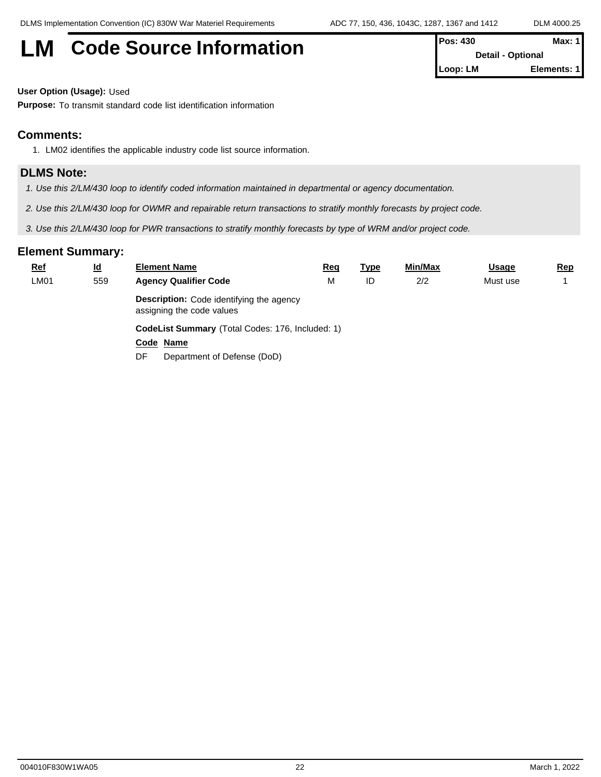# **LM** Code Source Information **Pos: 430 Max: 430 Max: 430**

| I POS: 430               | Max: 11     |  |
|--------------------------|-------------|--|
| <b>Detail - Optional</b> |             |  |
| <b>ILoop: LM</b>         | Elements: 1 |  |

**User Option (Usage):** Used

**Purpose:** To transmit standard code list identification information

#### **Comments:**

1. LM02 identifies the applicable industry code list source information.

#### **DLMS Note:**

- *1. Use this 2/LM/430 loop to identify coded information maintained in departmental or agency documentation.*
- *2. Use this 2/LM/430 loop for OWMR and repairable return transactions to stratify monthly forecasts by project code.*
- *3. Use this 2/LM/430 loop for PWR transactions to stratify monthly forecasts by type of WRM and/or project code.*

| <b>Ref</b> | $\underline{\mathsf{Id}}$ | <b>Element Name</b>                                                          | <u>Req</u> | <u>Type</u> | Min/Max | <b>Usage</b> | <u>Rep</u> |  |  |  |  |
|------------|---------------------------|------------------------------------------------------------------------------|------------|-------------|---------|--------------|------------|--|--|--|--|
| LM01       | 559                       | <b>Agency Qualifier Code</b>                                                 | Μ          | ID          | 2/2     | Must use     |            |  |  |  |  |
|            |                           | <b>Description:</b> Code identifying the agency<br>assigning the code values |            |             |         |              |            |  |  |  |  |
|            |                           | CodeList Summary (Total Codes: 176, Included: 1)                             |            |             |         |              |            |  |  |  |  |
|            |                           | Code Name                                                                    |            |             |         |              |            |  |  |  |  |
|            |                           | Department of Defense (DoD)<br>DF                                            |            |             |         |              |            |  |  |  |  |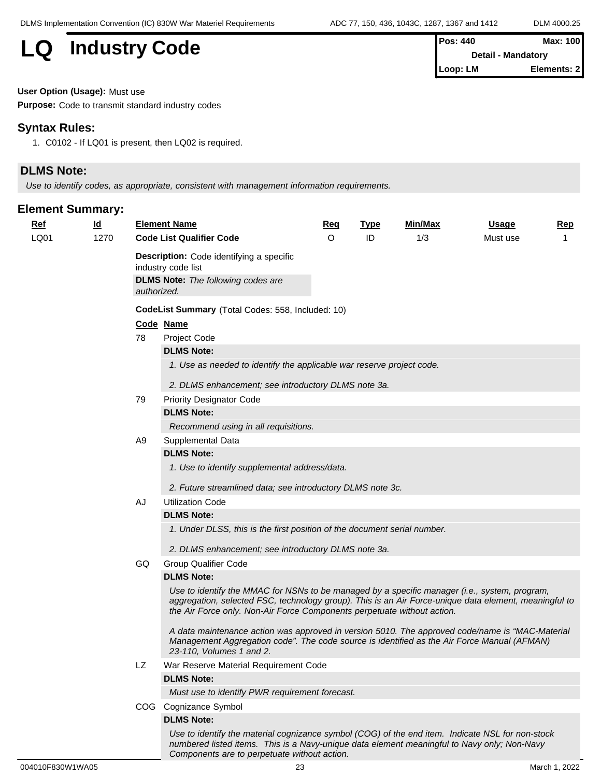# **LQ** Industry Code

| IPos: 440        | Max: 100                  |
|------------------|---------------------------|
|                  | <b>Detail - Mandatory</b> |
| <b>ILoop: LM</b> | Elements: 21              |

**User Option (Usage):** Must use

**Purpose:** Code to transmit standard industry codes

#### **Syntax Rules:**

1. C0102 - If LQ01 is present, then LQ02 is required.

#### **DLMS Note:**

*Use to identify codes, as appropriate, consistent with management information requirements.*

#### **Element Summary:**

| <b>Ref</b> | $\underline{\mathsf{Id}}$ |                                      | <b>Element Name</b>                                                                                                                                                                                                                                                               | <u>Req</u> | <b>Type</b> | Min/Max | <u>Usage</u> | Rep |  |  |  |  |
|------------|---------------------------|--------------------------------------|-----------------------------------------------------------------------------------------------------------------------------------------------------------------------------------------------------------------------------------------------------------------------------------|------------|-------------|---------|--------------|-----|--|--|--|--|
| LQ01       | 1270                      |                                      | <b>Code List Qualifier Code</b>                                                                                                                                                                                                                                                   | O          | ID          | 1/3     | Must use     |     |  |  |  |  |
|            |                           |                                      | <b>Description:</b> Code identifying a specific<br>industry code list                                                                                                                                                                                                             |            |             |         |              |     |  |  |  |  |
|            |                           | authorized.                          | <b>DLMS Note:</b> The following codes are                                                                                                                                                                                                                                         |            |             |         |              |     |  |  |  |  |
|            |                           |                                      | CodeList Summary (Total Codes: 558, Included: 10)                                                                                                                                                                                                                                 |            |             |         |              |     |  |  |  |  |
|            |                           | Code Name                            |                                                                                                                                                                                                                                                                                   |            |             |         |              |     |  |  |  |  |
|            |                           | 78                                   | Project Code                                                                                                                                                                                                                                                                      |            |             |         |              |     |  |  |  |  |
|            |                           |                                      | <b>DLMS Note:</b>                                                                                                                                                                                                                                                                 |            |             |         |              |     |  |  |  |  |
|            |                           |                                      | 1. Use as needed to identify the applicable war reserve project code.                                                                                                                                                                                                             |            |             |         |              |     |  |  |  |  |
|            |                           |                                      | 2. DLMS enhancement; see introductory DLMS note 3a.                                                                                                                                                                                                                               |            |             |         |              |     |  |  |  |  |
|            |                           | 79                                   | <b>Priority Designator Code</b>                                                                                                                                                                                                                                                   |            |             |         |              |     |  |  |  |  |
|            |                           |                                      | <b>DLMS Note:</b>                                                                                                                                                                                                                                                                 |            |             |         |              |     |  |  |  |  |
|            |                           | Recommend using in all requisitions. |                                                                                                                                                                                                                                                                                   |            |             |         |              |     |  |  |  |  |
|            |                           | A <sub>9</sub>                       | Supplemental Data                                                                                                                                                                                                                                                                 |            |             |         |              |     |  |  |  |  |
|            |                           |                                      | <b>DLMS Note:</b>                                                                                                                                                                                                                                                                 |            |             |         |              |     |  |  |  |  |
|            |                           |                                      | 1. Use to identify supplemental address/data.                                                                                                                                                                                                                                     |            |             |         |              |     |  |  |  |  |
|            |                           |                                      | 2. Future streamlined data; see introductory DLMS note 3c.                                                                                                                                                                                                                        |            |             |         |              |     |  |  |  |  |
|            |                           | AJ                                   | <b>Utilization Code</b>                                                                                                                                                                                                                                                           |            |             |         |              |     |  |  |  |  |
|            |                           |                                      | <b>DLMS Note:</b>                                                                                                                                                                                                                                                                 |            |             |         |              |     |  |  |  |  |
|            |                           |                                      | 1. Under DLSS, this is the first position of the document serial number.                                                                                                                                                                                                          |            |             |         |              |     |  |  |  |  |
|            |                           |                                      | 2. DLMS enhancement; see introductory DLMS note 3a.                                                                                                                                                                                                                               |            |             |         |              |     |  |  |  |  |
|            |                           | GQ                                   | <b>Group Qualifier Code</b>                                                                                                                                                                                                                                                       |            |             |         |              |     |  |  |  |  |
|            |                           |                                      | <b>DLMS Note:</b>                                                                                                                                                                                                                                                                 |            |             |         |              |     |  |  |  |  |
|            |                           |                                      | Use to identify the MMAC for NSNs to be managed by a specific manager (i.e., system, program,<br>aggregation, selected FSC, technology group). This is an Air Force-unique data element, meaningful to<br>the Air Force only. Non-Air Force Components perpetuate without action. |            |             |         |              |     |  |  |  |  |
|            |                           |                                      | A data maintenance action was approved in version 5010. The approved code/name is "MAC-Material"<br>Management Aggregation code". The code source is identified as the Air Force Manual (AFMAN)<br>23-110, Volumes 1 and 2.                                                       |            |             |         |              |     |  |  |  |  |
|            |                           | LZ                                   | War Reserve Material Requirement Code                                                                                                                                                                                                                                             |            |             |         |              |     |  |  |  |  |
|            |                           |                                      | <b>DLMS Note:</b>                                                                                                                                                                                                                                                                 |            |             |         |              |     |  |  |  |  |
|            |                           |                                      | Must use to identify PWR requirement forecast.                                                                                                                                                                                                                                    |            |             |         |              |     |  |  |  |  |
|            |                           |                                      | COG Cognizance Symbol                                                                                                                                                                                                                                                             |            |             |         |              |     |  |  |  |  |
|            |                           |                                      | <b>DLMS Note:</b>                                                                                                                                                                                                                                                                 |            |             |         |              |     |  |  |  |  |
|            |                           |                                      | Use to identify the material cognizance symbol (COG) of the end item. Indicate NSL for non-stock<br>numbered listed items. This is a Navy-unique data element meaningful to Navy only; Non-Navy                                                                                   |            |             |         |              |     |  |  |  |  |

*Components are to perpetuate without action.*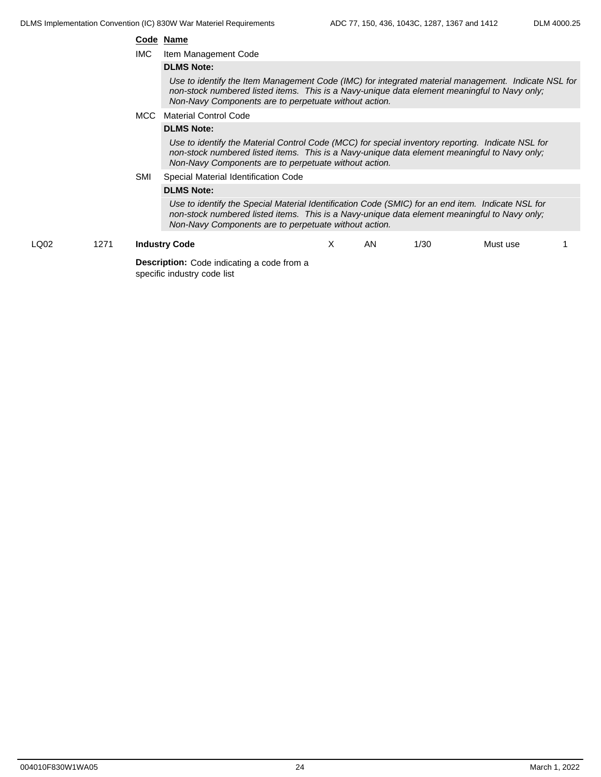#### **Code Name**

IMC Item Management Code

#### **DLMS Note:**

*Use to identify the Item Management Code (IMC) for integrated material management. Indicate NSL for non-stock numbered listed items. This is a Navy-unique data element meaningful to Navy only; Non-Navy Components are to perpetuate without action.*

#### MCC Material Control Code

#### **DLMS Note:**

*Use to identify the Material Control Code (MCC) for special inventory reporting. Indicate NSL for non-stock numbered listed items. This is a Navy-unique data element meaningful to Navy only; Non-Navy Components are to perpetuate without action.*

#### SMI Special Material Identification Code

#### **DLMS Note:**

*Use to identify the Special Material Identification Code (SMIC) for an end item. Indicate NSL for non-stock numbered listed items. This is a Navy-unique data element meaningful to Navy only; Non-Navy Components are to perpetuate without action.*

LQ02 1271 **Industry Code Description:** Code indicating a code from a specific industry code list X AN 1/30 Must use 1